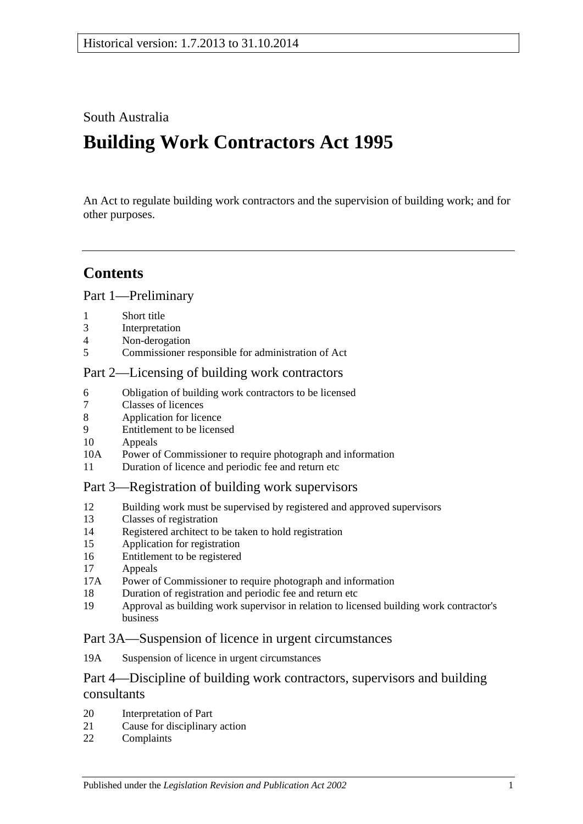## South Australia

# **Building Work Contractors Act 1995**

An Act to regulate building work contractors and the supervision of building work; and for other purposes.

## **Contents**

### [Part 1—Preliminary](#page-2-0)

- 1 [Short title](#page-2-1)
- 3 [Interpretation](#page-2-2)
- 4 [Non-derogation](#page-4-0)
- 5 [Commissioner responsible for administration of Act](#page-4-1)

#### [Part 2—Licensing of building work contractors](#page-4-2)

- 6 [Obligation of building work contractors to be licensed](#page-4-3)
- 7 [Classes of licences](#page-5-0)
- 8 [Application for licence](#page-5-1)
- 9 [Entitlement to be licensed](#page-6-0)
- 10 [Appeals](#page-7-0)
- 10A [Power of Commissioner to require photograph and information](#page-8-0)
- 11 [Duration of licence and periodic fee and return etc](#page-8-1)

#### [Part 3—Registration of building work supervisors](#page-9-0)

- 12 [Building work must be supervised by registered and approved supervisors](#page-9-1)
- 13 [Classes of registration](#page-9-2)
- 14 [Registered architect to be taken to hold registration](#page-10-0)
- 15 [Application for registration](#page-10-1)
- 16 [Entitlement to be registered](#page-10-2)
- 17 [Appeals](#page-11-0)
- 17A [Power of Commissioner to require photograph and information](#page-11-1)
- 18 [Duration of registration and periodic fee and return etc](#page-11-2)
- 19 [Approval as building work supervisor in relation to licensed building work contractor's](#page-12-0)  [business](#page-12-0)

#### [Part 3A—Suspension of licence in urgent circumstances](#page-13-0)

19A [Suspension of licence in urgent circumstances](#page-13-1)

### Part 4—Discipline of building work [contractors, supervisors and building](#page-14-0)  [consultants](#page-14-0)

- 20 [Interpretation of Part](#page-14-1)
- 21 [Cause for disciplinary action](#page-15-0)
- 22 [Complaints](#page-16-0)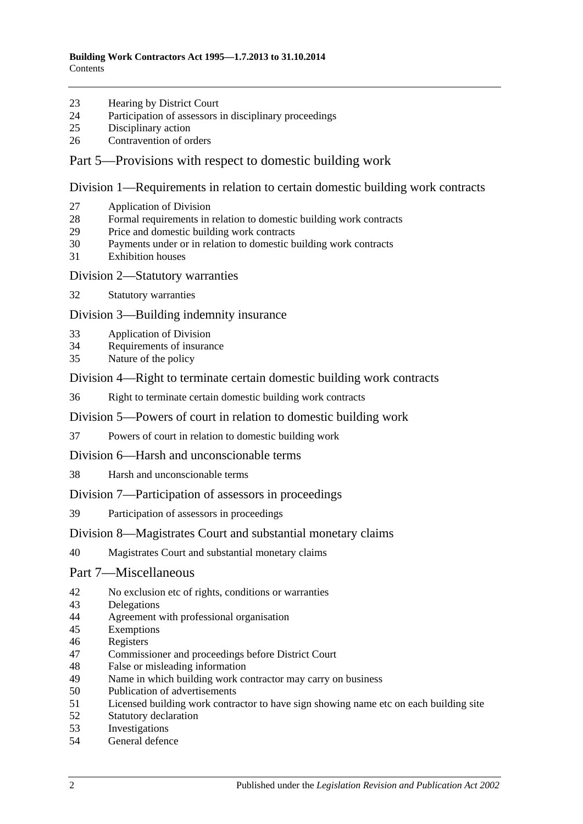- [Hearing by District Court](#page-16-1)
- [Participation of assessors in disciplinary proceedings](#page-16-2)
- [Disciplinary action](#page-16-3)
- [Contravention of orders](#page-17-0)

#### [Part 5—Provisions with respect to domestic building work](#page-17-1)

[Division 1—Requirements in relation to certain domestic building work contracts](#page-17-2)

- [Application of Division](#page-17-3)
- [Formal requirements in relation to domestic building work contracts](#page-18-0)
- [Price and domestic building work contracts](#page-18-1)
- [Payments under or in relation to domestic building work contracts](#page-20-0)
- [Exhibition houses](#page-21-0)
- [Division 2—Statutory warranties](#page-21-1)
- [Statutory warranties](#page-21-2)

[Division 3—Building indemnity insurance](#page-22-0)

- [Application of Division](#page-22-1)
- [Requirements of insurance](#page-23-0)
- [Nature of the policy](#page-23-1)

[Division 4—Right to terminate certain domestic building work contracts](#page-23-2)

[Right to terminate certain domestic building work contracts](#page-23-3)

[Division 5—Powers of court in relation to domestic building work](#page-24-0)

- [Powers of court in relation to domestic building work](#page-24-1)
- [Division 6—Harsh and unconscionable terms](#page-25-0)
- [Harsh and unconscionable terms](#page-25-1)

[Division 7—Participation of assessors in proceedings](#page-26-0)

[Participation of assessors in proceedings](#page-26-1)

#### [Division 8—Magistrates Court and substantial monetary claims](#page-26-2)

[Magistrates Court and substantial monetary claims](#page-26-3)

#### [Part 7—Miscellaneous](#page-27-0)

- [No exclusion etc of rights, conditions or warranties](#page-27-1)
- [Delegations](#page-27-2)
- [Agreement with professional organisation](#page-27-3)
- [Exemptions](#page-28-0)
- [Registers](#page-28-1)
- [Commissioner and proceedings before District Court](#page-29-0)
- [False or misleading information](#page-29-1)
- [Name in which building work contractor may carry on business](#page-29-2)<br>50 Publication of advertisements
- [Publication of advertisements](#page-29-3)
- [Licensed building work contractor to have sign showing name etc on each building site](#page-30-0)
- [Statutory declaration](#page-30-1)
- [Investigations](#page-30-2)
- [General defence](#page-30-3)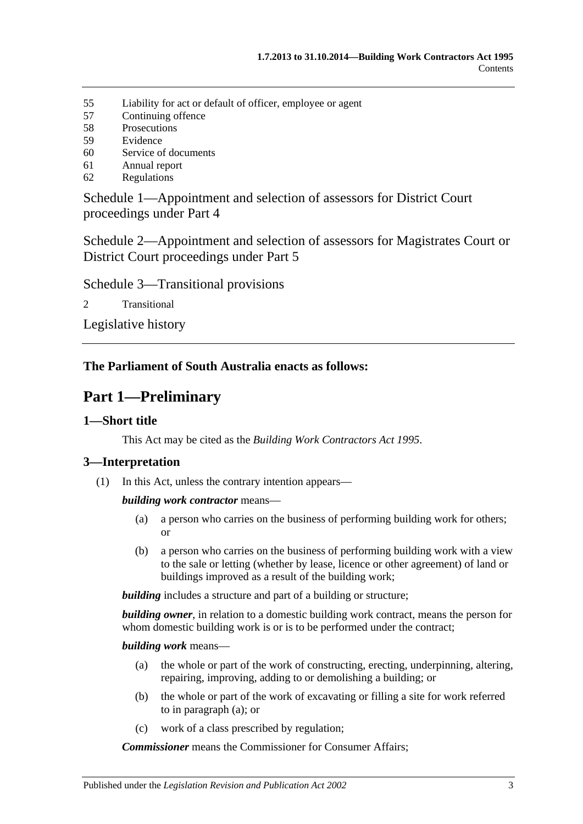- 55 [Liability for act or default of officer, employee or agent](#page-30-4)
- 57 [Continuing offence](#page-31-0)
- 58 [Prosecutions](#page-31-1)
- 59 [Evidence](#page-31-2)
- 60 [Service of documents](#page-32-0)
- 61 [Annual report](#page-32-1)
- 62 [Regulations](#page-32-2)

[Schedule 1—Appointment and selection of assessors for District Court](#page-33-0)  [proceedings under Part 4](#page-33-0)

[Schedule 2—Appointment and selection of assessors for Magistrates Court or](#page-34-0)  [District Court proceedings under Part](#page-34-0) 5

[Schedule 3—Transitional provisions](#page-34-1)

2 [Transitional](#page-34-2)

[Legislative history](#page-36-0)

### <span id="page-2-0"></span>**The Parliament of South Australia enacts as follows:**

## **Part 1—Preliminary**

#### <span id="page-2-1"></span>**1—Short title**

This Act may be cited as the *Building Work Contractors Act 1995*.

#### <span id="page-2-2"></span>**3—Interpretation**

(1) In this Act, unless the contrary intention appears—

*building work contractor* means—

- (a) a person who carries on the business of performing building work for others; or
- (b) a person who carries on the business of performing building work with a view to the sale or letting (whether by lease, licence or other agreement) of land or buildings improved as a result of the building work;

**building** includes a structure and part of a building or structure;

*building owner*, in relation to a domestic building work contract, means the person for whom domestic building work is or is to be performed under the contract;

#### <span id="page-2-3"></span>*building work* means—

- (a) the whole or part of the work of constructing, erecting, underpinning, altering, repairing, improving, adding to or demolishing a building; or
- (b) the whole or part of the work of excavating or filling a site for work referred to in [paragraph](#page-2-3) (a); or
- (c) work of a class prescribed by regulation;

*Commissioner* means the Commissioner for Consumer Affairs;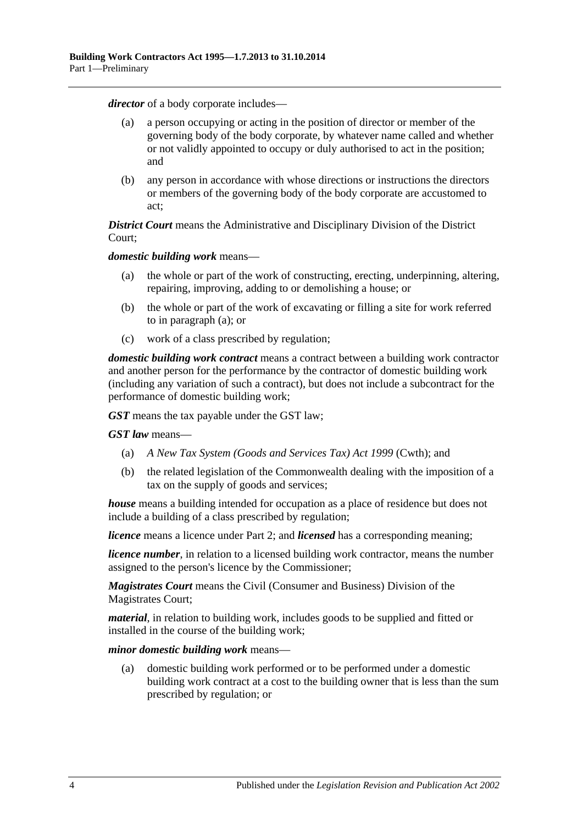*director* of a body corporate includes—

- (a) a person occupying or acting in the position of director or member of the governing body of the body corporate, by whatever name called and whether or not validly appointed to occupy or duly authorised to act in the position; and
- (b) any person in accordance with whose directions or instructions the directors or members of the governing body of the body corporate are accustomed to act;

*District Court* means the Administrative and Disciplinary Division of the District Court;

<span id="page-3-0"></span>*domestic building work* means—

- (a) the whole or part of the work of constructing, erecting, underpinning, altering, repairing, improving, adding to or demolishing a house; or
- (b) the whole or part of the work of excavating or filling a site for work referred to in [paragraph](#page-3-0) (a); or
- (c) work of a class prescribed by regulation;

*domestic building work contract* means a contract between a building work contractor and another person for the performance by the contractor of domestic building work (including any variation of such a contract), but does not include a subcontract for the performance of domestic building work;

*GST* means the tax payable under the GST law;

*GST law* means—

- (a) *A New Tax System (Goods and Services Tax) Act 1999* (Cwth); and
- (b) the related legislation of the Commonwealth dealing with the imposition of a tax on the supply of goods and services;

*house* means a building intended for occupation as a place of residence but does not include a building of a class prescribed by regulation;

*licence* means a licence under [Part 2;](#page-4-2) and *licensed* has a corresponding meaning;

*licence number*, in relation to a licensed building work contractor, means the number assigned to the person's licence by the Commissioner;

*Magistrates Court* means the Civil (Consumer and Business) Division of the Magistrates Court;

*material*, in relation to building work, includes goods to be supplied and fitted or installed in the course of the building work;

*minor domestic building work* means—

(a) domestic building work performed or to be performed under a domestic building work contract at a cost to the building owner that is less than the sum prescribed by regulation; or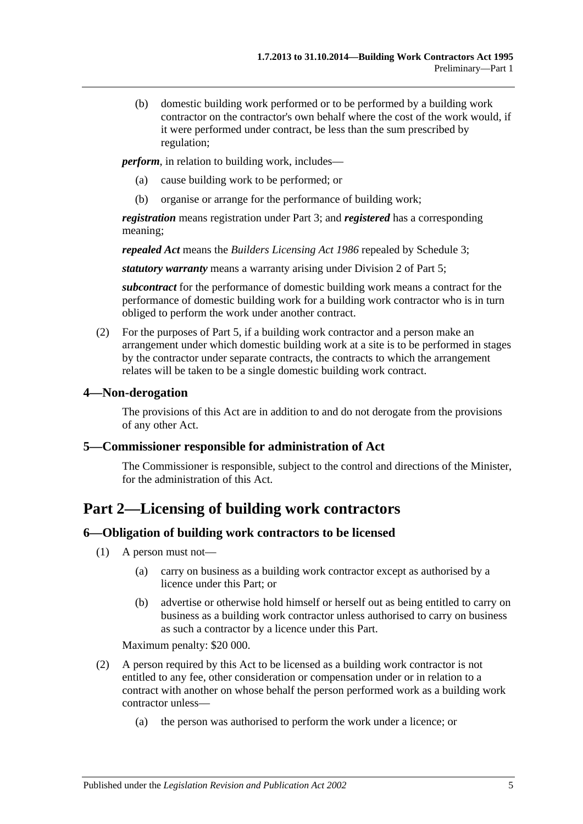(b) domestic building work performed or to be performed by a building work contractor on the contractor's own behalf where the cost of the work would, if it were performed under contract, be less than the sum prescribed by regulation;

*perform*, in relation to building work, includes—

- (a) cause building work to be performed; or
- (b) organise or arrange for the performance of building work;

*registration* means registration under [Part 3;](#page-9-0) and *registered* has a corresponding meaning;

*repealed Act* means the *[Builders Licensing Act](http://www.legislation.sa.gov.au/index.aspx?action=legref&type=act&legtitle=Builders%20Licensing%20Act%201986) 1986* repealed by [Schedule 3;](#page-34-1)

*statutory warranty* means a warranty arising under [Division 2](#page-21-1) of [Part 5;](#page-17-1)

*subcontract* for the performance of domestic building work means a contract for the performance of domestic building work for a building work contractor who is in turn obliged to perform the work under another contract.

(2) For the purposes of [Part 5,](#page-17-1) if a building work contractor and a person make an arrangement under which domestic building work at a site is to be performed in stages by the contractor under separate contracts, the contracts to which the arrangement relates will be taken to be a single domestic building work contract.

#### <span id="page-4-0"></span>**4—Non-derogation**

The provisions of this Act are in addition to and do not derogate from the provisions of any other Act.

#### <span id="page-4-1"></span>**5—Commissioner responsible for administration of Act**

The Commissioner is responsible, subject to the control and directions of the Minister, for the administration of this Act.

## <span id="page-4-2"></span>**Part 2—Licensing of building work contractors**

#### <span id="page-4-3"></span>**6—Obligation of building work contractors to be licensed**

- (1) A person must not—
	- (a) carry on business as a building work contractor except as authorised by a licence under this Part; or
	- (b) advertise or otherwise hold himself or herself out as being entitled to carry on business as a building work contractor unless authorised to carry on business as such a contractor by a licence under this Part.

Maximum penalty: \$20 000.

- (2) A person required by this Act to be licensed as a building work contractor is not entitled to any fee, other consideration or compensation under or in relation to a contract with another on whose behalf the person performed work as a building work contractor unless—
	- (a) the person was authorised to perform the work under a licence; or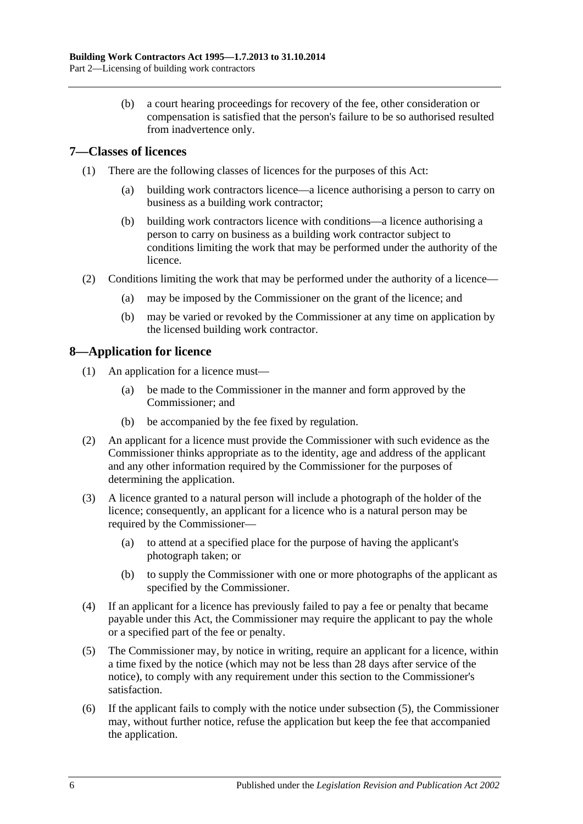(b) a court hearing proceedings for recovery of the fee, other consideration or compensation is satisfied that the person's failure to be so authorised resulted from inadvertence only.

### <span id="page-5-0"></span>**7—Classes of licences**

- (1) There are the following classes of licences for the purposes of this Act:
	- (a) building work contractors licence—a licence authorising a person to carry on business as a building work contractor;
	- (b) building work contractors licence with conditions—a licence authorising a person to carry on business as a building work contractor subject to conditions limiting the work that may be performed under the authority of the licence.
- (2) Conditions limiting the work that may be performed under the authority of a licence—
	- (a) may be imposed by the Commissioner on the grant of the licence; and
	- (b) may be varied or revoked by the Commissioner at any time on application by the licensed building work contractor.

### <span id="page-5-1"></span>**8—Application for licence**

- (1) An application for a licence must—
	- (a) be made to the Commissioner in the manner and form approved by the Commissioner; and
	- (b) be accompanied by the fee fixed by regulation.
- (2) An applicant for a licence must provide the Commissioner with such evidence as the Commissioner thinks appropriate as to the identity, age and address of the applicant and any other information required by the Commissioner for the purposes of determining the application.
- (3) A licence granted to a natural person will include a photograph of the holder of the licence; consequently, an applicant for a licence who is a natural person may be required by the Commissioner—
	- (a) to attend at a specified place for the purpose of having the applicant's photograph taken; or
	- (b) to supply the Commissioner with one or more photographs of the applicant as specified by the Commissioner.
- (4) If an applicant for a licence has previously failed to pay a fee or penalty that became payable under this Act, the Commissioner may require the applicant to pay the whole or a specified part of the fee or penalty.
- <span id="page-5-2"></span>(5) The Commissioner may, by notice in writing, require an applicant for a licence, within a time fixed by the notice (which may not be less than 28 days after service of the notice), to comply with any requirement under this section to the Commissioner's satisfaction.
- (6) If the applicant fails to comply with the notice under [subsection](#page-5-2) (5), the Commissioner may, without further notice, refuse the application but keep the fee that accompanied the application.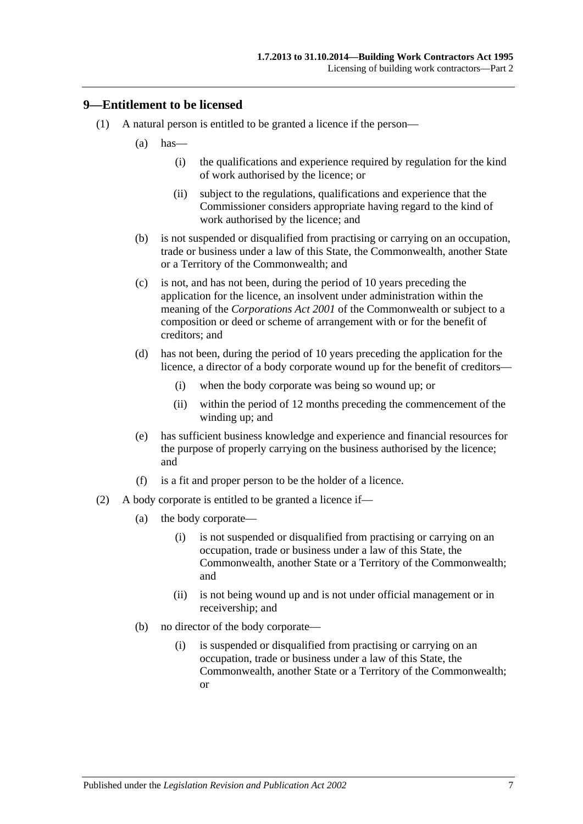#### <span id="page-6-0"></span>**9—Entitlement to be licensed**

- (1) A natural person is entitled to be granted a licence if the person—
	- $(a)$  has—
		- (i) the qualifications and experience required by regulation for the kind of work authorised by the licence; or
		- (ii) subject to the regulations, qualifications and experience that the Commissioner considers appropriate having regard to the kind of work authorised by the licence; and
	- (b) is not suspended or disqualified from practising or carrying on an occupation, trade or business under a law of this State, the Commonwealth, another State or a Territory of the Commonwealth; and
	- (c) is not, and has not been, during the period of 10 years preceding the application for the licence, an insolvent under administration within the meaning of the *Corporations Act 2001* of the Commonwealth or subject to a composition or deed or scheme of arrangement with or for the benefit of creditors; and
	- (d) has not been, during the period of 10 years preceding the application for the licence, a director of a body corporate wound up for the benefit of creditors—
		- (i) when the body corporate was being so wound up; or
		- (ii) within the period of 12 months preceding the commencement of the winding up; and
	- (e) has sufficient business knowledge and experience and financial resources for the purpose of properly carrying on the business authorised by the licence; and
	- (f) is a fit and proper person to be the holder of a licence.
- (2) A body corporate is entitled to be granted a licence if—
	- (a) the body corporate—
		- (i) is not suspended or disqualified from practising or carrying on an occupation, trade or business under a law of this State, the Commonwealth, another State or a Territory of the Commonwealth; and
		- (ii) is not being wound up and is not under official management or in receivership; and
	- (b) no director of the body corporate—
		- (i) is suspended or disqualified from practising or carrying on an occupation, trade or business under a law of this State, the Commonwealth, another State or a Territory of the Commonwealth; or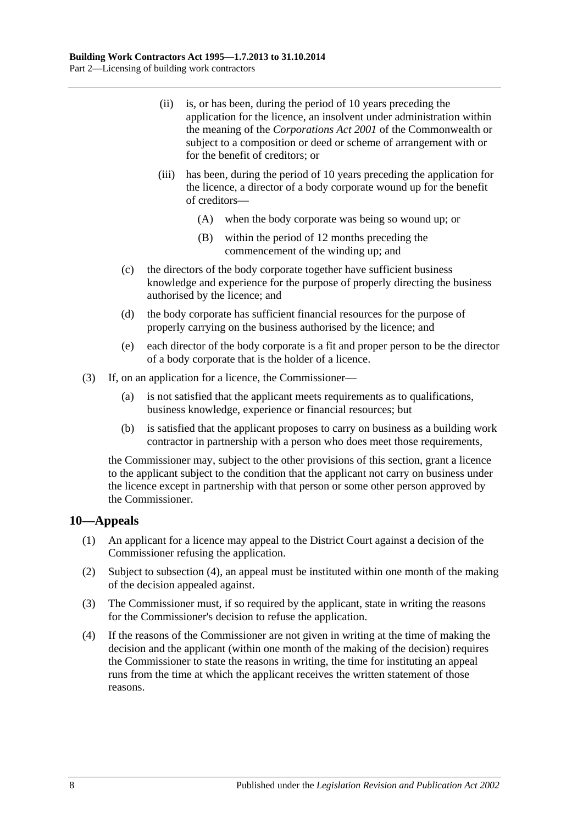- (ii) is, or has been, during the period of 10 years preceding the application for the licence, an insolvent under administration within the meaning of the *Corporations Act 2001* of the Commonwealth or subject to a composition or deed or scheme of arrangement with or for the benefit of creditors; or
- (iii) has been, during the period of 10 years preceding the application for the licence, a director of a body corporate wound up for the benefit of creditors—
	- (A) when the body corporate was being so wound up; or
	- (B) within the period of 12 months preceding the commencement of the winding up; and
- (c) the directors of the body corporate together have sufficient business knowledge and experience for the purpose of properly directing the business authorised by the licence; and
- (d) the body corporate has sufficient financial resources for the purpose of properly carrying on the business authorised by the licence; and
- (e) each director of the body corporate is a fit and proper person to be the director of a body corporate that is the holder of a licence.
- (3) If, on an application for a licence, the Commissioner—
	- (a) is not satisfied that the applicant meets requirements as to qualifications, business knowledge, experience or financial resources; but
	- (b) is satisfied that the applicant proposes to carry on business as a building work contractor in partnership with a person who does meet those requirements,

the Commissioner may, subject to the other provisions of this section, grant a licence to the applicant subject to the condition that the applicant not carry on business under the licence except in partnership with that person or some other person approved by the Commissioner.

#### <span id="page-7-0"></span>**10—Appeals**

- (1) An applicant for a licence may appeal to the District Court against a decision of the Commissioner refusing the application.
- (2) Subject to [subsection](#page-7-1) (4), an appeal must be instituted within one month of the making of the decision appealed against.
- (3) The Commissioner must, if so required by the applicant, state in writing the reasons for the Commissioner's decision to refuse the application.
- <span id="page-7-1"></span>(4) If the reasons of the Commissioner are not given in writing at the time of making the decision and the applicant (within one month of the making of the decision) requires the Commissioner to state the reasons in writing, the time for instituting an appeal runs from the time at which the applicant receives the written statement of those reasons.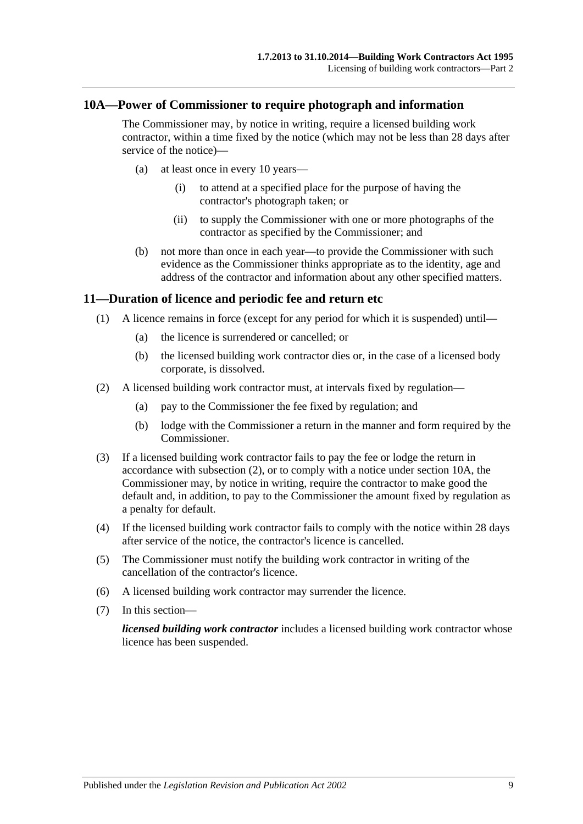#### <span id="page-8-0"></span>**10A—Power of Commissioner to require photograph and information**

The Commissioner may, by notice in writing, require a licensed building work contractor, within a time fixed by the notice (which may not be less than 28 days after service of the notice)—

- (a) at least once in every 10 years—
	- (i) to attend at a specified place for the purpose of having the contractor's photograph taken; or
	- (ii) to supply the Commissioner with one or more photographs of the contractor as specified by the Commissioner; and
- (b) not more than once in each year—to provide the Commissioner with such evidence as the Commissioner thinks appropriate as to the identity, age and address of the contractor and information about any other specified matters.

#### <span id="page-8-1"></span>**11—Duration of licence and periodic fee and return etc**

- (1) A licence remains in force (except for any period for which it is suspended) until—
	- (a) the licence is surrendered or cancelled; or
	- (b) the licensed building work contractor dies or, in the case of a licensed body corporate, is dissolved.
- <span id="page-8-2"></span>(2) A licensed building work contractor must, at intervals fixed by regulation—
	- (a) pay to the Commissioner the fee fixed by regulation; and
	- (b) lodge with the Commissioner a return in the manner and form required by the Commissioner.
- (3) If a licensed building work contractor fails to pay the fee or lodge the return in accordance with [subsection](#page-8-2) (2), or to comply with a notice under [section](#page-8-0) 10A, the Commissioner may, by notice in writing, require the contractor to make good the default and, in addition, to pay to the Commissioner the amount fixed by regulation as a penalty for default.
- (4) If the licensed building work contractor fails to comply with the notice within 28 days after service of the notice, the contractor's licence is cancelled.
- (5) The Commissioner must notify the building work contractor in writing of the cancellation of the contractor's licence.
- (6) A licensed building work contractor may surrender the licence.
- (7) In this section—

*licensed building work contractor* includes a licensed building work contractor whose licence has been suspended.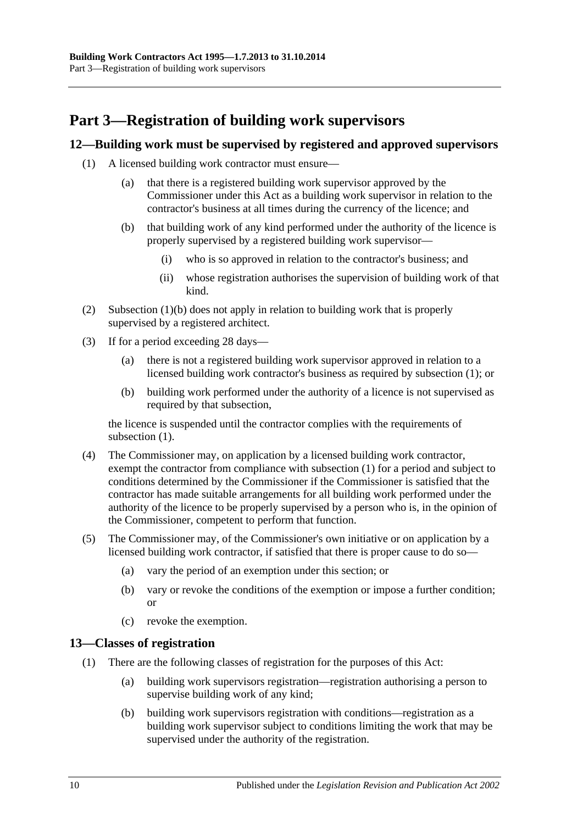## <span id="page-9-0"></span>**Part 3—Registration of building work supervisors**

### <span id="page-9-4"></span><span id="page-9-1"></span>**12—Building work must be supervised by registered and approved supervisors**

- <span id="page-9-3"></span>(1) A licensed building work contractor must ensure—
	- (a) that there is a registered building work supervisor approved by the Commissioner under this Act as a building work supervisor in relation to the contractor's business at all times during the currency of the licence; and
	- (b) that building work of any kind performed under the authority of the licence is properly supervised by a registered building work supervisor—
		- (i) who is so approved in relation to the contractor's business; and
		- (ii) whose registration authorises the supervision of building work of that kind.
- (2) [Subsection](#page-9-3) (1)(b) does not apply in relation to building work that is properly supervised by a registered architect.
- (3) If for a period exceeding 28 days—
	- (a) there is not a registered building work supervisor approved in relation to a licensed building work contractor's business as required by [subsection](#page-9-4) (1); or
	- (b) building work performed under the authority of a licence is not supervised as required by that subsection,

the licence is suspended until the contractor complies with the requirements of [subsection](#page-9-4)  $(1)$ .

- (4) The Commissioner may, on application by a licensed building work contractor, exempt the contractor from compliance with [subsection](#page-9-4) (1) for a period and subject to conditions determined by the Commissioner if the Commissioner is satisfied that the contractor has made suitable arrangements for all building work performed under the authority of the licence to be properly supervised by a person who is, in the opinion of the Commissioner, competent to perform that function.
- (5) The Commissioner may, of the Commissioner's own initiative or on application by a licensed building work contractor, if satisfied that there is proper cause to do so—
	- (a) vary the period of an exemption under this section; or
	- (b) vary or revoke the conditions of the exemption or impose a further condition; or
	- (c) revoke the exemption.

#### <span id="page-9-2"></span>**13—Classes of registration**

- (1) There are the following classes of registration for the purposes of this Act:
	- (a) building work supervisors registration—registration authorising a person to supervise building work of any kind;
	- (b) building work supervisors registration with conditions—registration as a building work supervisor subject to conditions limiting the work that may be supervised under the authority of the registration.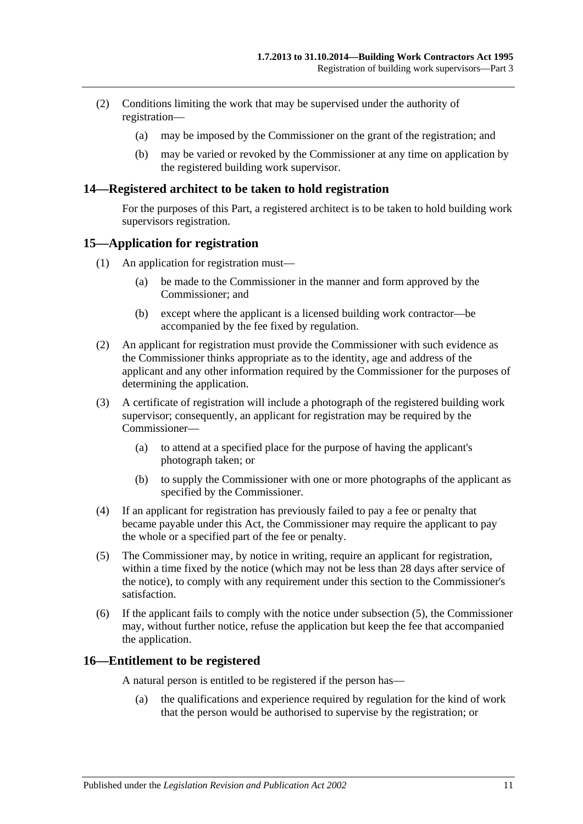- (2) Conditions limiting the work that may be supervised under the authority of registration—
	- (a) may be imposed by the Commissioner on the grant of the registration; and
	- (b) may be varied or revoked by the Commissioner at any time on application by the registered building work supervisor.

#### <span id="page-10-0"></span>**14—Registered architect to be taken to hold registration**

For the purposes of this Part, a registered architect is to be taken to hold building work supervisors registration.

#### <span id="page-10-1"></span>**15—Application for registration**

- (1) An application for registration must—
	- (a) be made to the Commissioner in the manner and form approved by the Commissioner; and
	- (b) except where the applicant is a licensed building work contractor—be accompanied by the fee fixed by regulation.
- (2) An applicant for registration must provide the Commissioner with such evidence as the Commissioner thinks appropriate as to the identity, age and address of the applicant and any other information required by the Commissioner for the purposes of determining the application.
- (3) A certificate of registration will include a photograph of the registered building work supervisor; consequently, an applicant for registration may be required by the Commissioner—
	- (a) to attend at a specified place for the purpose of having the applicant's photograph taken; or
	- (b) to supply the Commissioner with one or more photographs of the applicant as specified by the Commissioner.
- (4) If an applicant for registration has previously failed to pay a fee or penalty that became payable under this Act, the Commissioner may require the applicant to pay the whole or a specified part of the fee or penalty.
- <span id="page-10-3"></span>(5) The Commissioner may, by notice in writing, require an applicant for registration, within a time fixed by the notice (which may not be less than 28 days after service of the notice), to comply with any requirement under this section to the Commissioner's satisfaction.
- (6) If the applicant fails to comply with the notice under [subsection](#page-10-3) (5), the Commissioner may, without further notice, refuse the application but keep the fee that accompanied the application.

#### <span id="page-10-2"></span>**16—Entitlement to be registered**

A natural person is entitled to be registered if the person has—

(a) the qualifications and experience required by regulation for the kind of work that the person would be authorised to supervise by the registration; or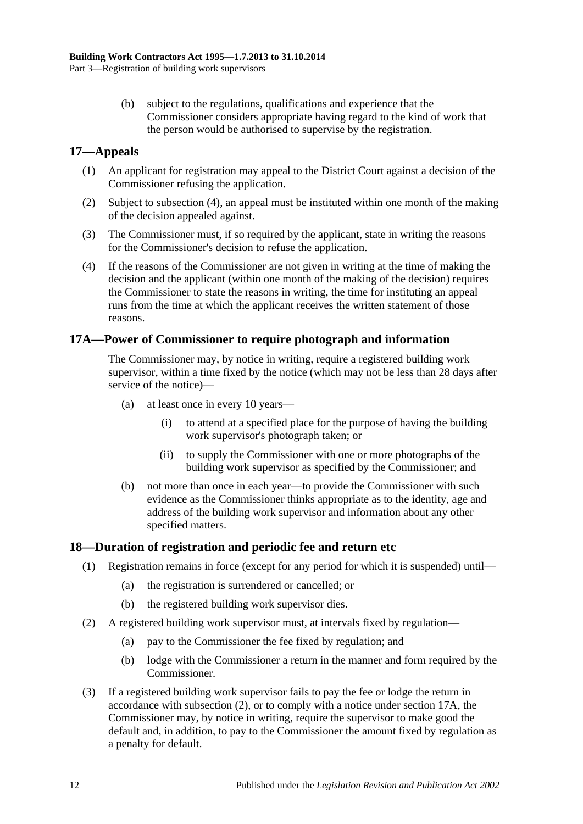(b) subject to the regulations, qualifications and experience that the Commissioner considers appropriate having regard to the kind of work that the person would be authorised to supervise by the registration.

### <span id="page-11-0"></span>**17—Appeals**

- (1) An applicant for registration may appeal to the District Court against a decision of the Commissioner refusing the application.
- (2) Subject to [subsection](#page-11-3) (4), an appeal must be instituted within one month of the making of the decision appealed against.
- (3) The Commissioner must, if so required by the applicant, state in writing the reasons for the Commissioner's decision to refuse the application.
- <span id="page-11-3"></span>(4) If the reasons of the Commissioner are not given in writing at the time of making the decision and the applicant (within one month of the making of the decision) requires the Commissioner to state the reasons in writing, the time for instituting an appeal runs from the time at which the applicant receives the written statement of those reasons.

#### <span id="page-11-1"></span>**17A—Power of Commissioner to require photograph and information**

The Commissioner may, by notice in writing, require a registered building work supervisor, within a time fixed by the notice (which may not be less than 28 days after service of the notice)—

- (a) at least once in every 10 years—
	- (i) to attend at a specified place for the purpose of having the building work supervisor's photograph taken; or
	- (ii) to supply the Commissioner with one or more photographs of the building work supervisor as specified by the Commissioner; and
- (b) not more than once in each year—to provide the Commissioner with such evidence as the Commissioner thinks appropriate as to the identity, age and address of the building work supervisor and information about any other specified matters.

#### <span id="page-11-2"></span>**18—Duration of registration and periodic fee and return etc**

- (1) Registration remains in force (except for any period for which it is suspended) until—
	- (a) the registration is surrendered or cancelled; or
	- (b) the registered building work supervisor dies.
- <span id="page-11-4"></span>(2) A registered building work supervisor must, at intervals fixed by regulation—
	- (a) pay to the Commissioner the fee fixed by regulation; and
	- (b) lodge with the Commissioner a return in the manner and form required by the Commissioner.
- (3) If a registered building work supervisor fails to pay the fee or lodge the return in accordance with [subsection](#page-11-4) (2), or to comply with a notice under [section](#page-11-1) 17A, the Commissioner may, by notice in writing, require the supervisor to make good the default and, in addition, to pay to the Commissioner the amount fixed by regulation as a penalty for default.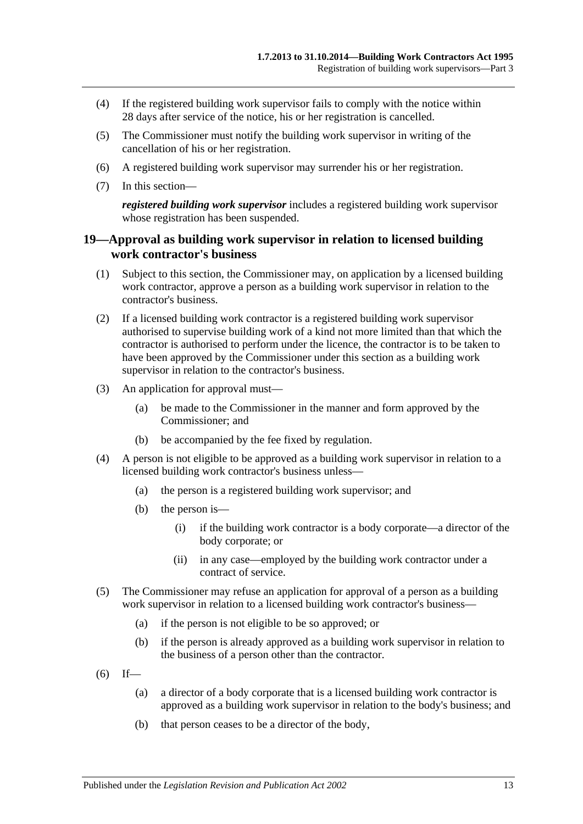- (4) If the registered building work supervisor fails to comply with the notice within 28 days after service of the notice, his or her registration is cancelled.
- (5) The Commissioner must notify the building work supervisor in writing of the cancellation of his or her registration.
- (6) A registered building work supervisor may surrender his or her registration.
- (7) In this section—

*registered building work supervisor* includes a registered building work supervisor whose registration has been suspended.

#### <span id="page-12-0"></span>**19—Approval as building work supervisor in relation to licensed building work contractor's business**

- (1) Subject to this section, the Commissioner may, on application by a licensed building work contractor, approve a person as a building work supervisor in relation to the contractor's business.
- (2) If a licensed building work contractor is a registered building work supervisor authorised to supervise building work of a kind not more limited than that which the contractor is authorised to perform under the licence, the contractor is to be taken to have been approved by the Commissioner under this section as a building work supervisor in relation to the contractor's business.
- (3) An application for approval must—
	- (a) be made to the Commissioner in the manner and form approved by the Commissioner; and
	- (b) be accompanied by the fee fixed by regulation.
- (4) A person is not eligible to be approved as a building work supervisor in relation to a licensed building work contractor's business unless—
	- (a) the person is a registered building work supervisor; and
	- (b) the person is—
		- (i) if the building work contractor is a body corporate—a director of the body corporate; or
		- (ii) in any case—employed by the building work contractor under a contract of service.
- (5) The Commissioner may refuse an application for approval of a person as a building work supervisor in relation to a licensed building work contractor's business—
	- (a) if the person is not eligible to be so approved; or
	- (b) if the person is already approved as a building work supervisor in relation to the business of a person other than the contractor.
- $(6)$  If—
	- (a) a director of a body corporate that is a licensed building work contractor is approved as a building work supervisor in relation to the body's business; and
	- (b) that person ceases to be a director of the body,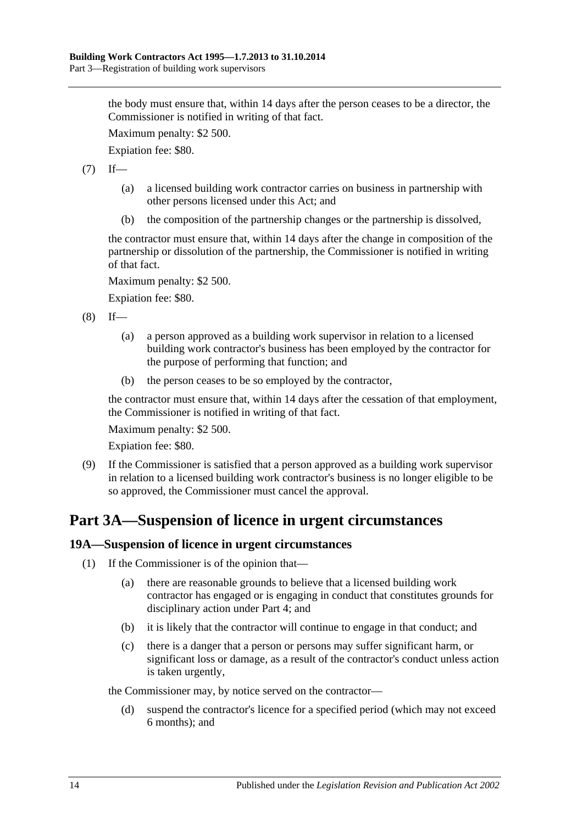the body must ensure that, within 14 days after the person ceases to be a director, the Commissioner is notified in writing of that fact.

Maximum penalty: \$2 500.

Expiation fee: \$80.

 $(7)$  If—

- (a) a licensed building work contractor carries on business in partnership with other persons licensed under this Act; and
- (b) the composition of the partnership changes or the partnership is dissolved,

the contractor must ensure that, within 14 days after the change in composition of the partnership or dissolution of the partnership, the Commissioner is notified in writing of that fact.

Maximum penalty: \$2 500.

Expiation fee: \$80.

 $(8)$  If—

- (a) a person approved as a building work supervisor in relation to a licensed building work contractor's business has been employed by the contractor for the purpose of performing that function; and
- (b) the person ceases to be so employed by the contractor,

the contractor must ensure that, within 14 days after the cessation of that employment, the Commissioner is notified in writing of that fact.

Maximum penalty: \$2 500.

Expiation fee: \$80.

(9) If the Commissioner is satisfied that a person approved as a building work supervisor in relation to a licensed building work contractor's business is no longer eligible to be so approved, the Commissioner must cancel the approval.

## <span id="page-13-0"></span>**Part 3A—Suspension of licence in urgent circumstances**

#### <span id="page-13-1"></span>**19A—Suspension of licence in urgent circumstances**

- (1) If the Commissioner is of the opinion that—
	- (a) there are reasonable grounds to believe that a licensed building work contractor has engaged or is engaging in conduct that constitutes grounds for disciplinary action under [Part 4;](#page-14-0) and
	- (b) it is likely that the contractor will continue to engage in that conduct; and
	- (c) there is a danger that a person or persons may suffer significant harm, or significant loss or damage, as a result of the contractor's conduct unless action is taken urgently,

the Commissioner may, by notice served on the contractor—

(d) suspend the contractor's licence for a specified period (which may not exceed 6 months); and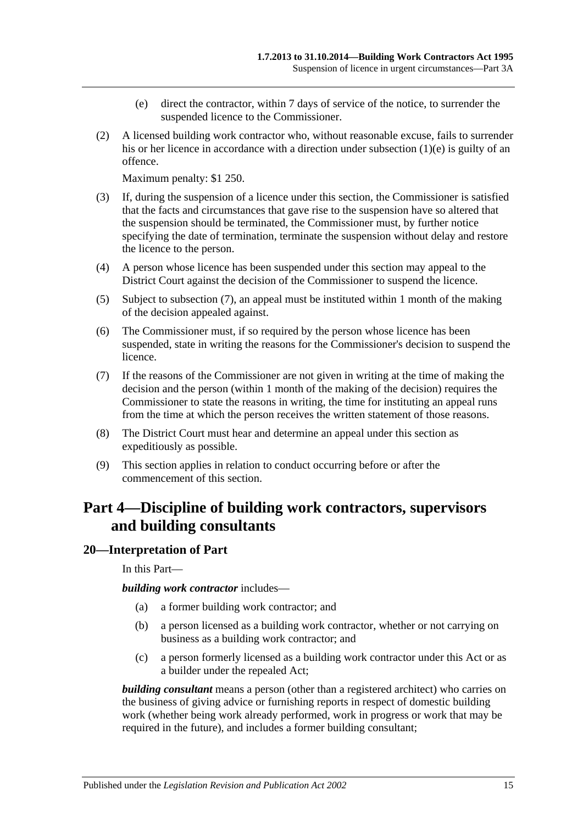- (e) direct the contractor, within 7 days of service of the notice, to surrender the suspended licence to the Commissioner.
- <span id="page-14-2"></span>(2) A licensed building work contractor who, without reasonable excuse, fails to surrender his or her licence in accordance with a direction under [subsection](#page-14-2) (1)(e) is guilty of an offence.

Maximum penalty: \$1 250.

- (3) If, during the suspension of a licence under this section, the Commissioner is satisfied that the facts and circumstances that gave rise to the suspension have so altered that the suspension should be terminated, the Commissioner must, by further notice specifying the date of termination, terminate the suspension without delay and restore the licence to the person.
- (4) A person whose licence has been suspended under this section may appeal to the District Court against the decision of the Commissioner to suspend the licence.
- (5) Subject to [subsection](#page-14-3) (7), an appeal must be instituted within 1 month of the making of the decision appealed against.
- (6) The Commissioner must, if so required by the person whose licence has been suspended, state in writing the reasons for the Commissioner's decision to suspend the licence.
- <span id="page-14-3"></span>(7) If the reasons of the Commissioner are not given in writing at the time of making the decision and the person (within 1 month of the making of the decision) requires the Commissioner to state the reasons in writing, the time for instituting an appeal runs from the time at which the person receives the written statement of those reasons.
- (8) The District Court must hear and determine an appeal under this section as expeditiously as possible.
- (9) This section applies in relation to conduct occurring before or after the commencement of this section.

## <span id="page-14-0"></span>**Part 4—Discipline of building work contractors, supervisors and building consultants**

#### <span id="page-14-1"></span>**20—Interpretation of Part**

In this Part—

*building work contractor* includes—

- (a) a former building work contractor; and
- (b) a person licensed as a building work contractor, whether or not carrying on business as a building work contractor; and
- (c) a person formerly licensed as a building work contractor under this Act or as a builder under the repealed Act;

*building consultant* means a person (other than a registered architect) who carries on the business of giving advice or furnishing reports in respect of domestic building work (whether being work already performed, work in progress or work that may be required in the future), and includes a former building consultant;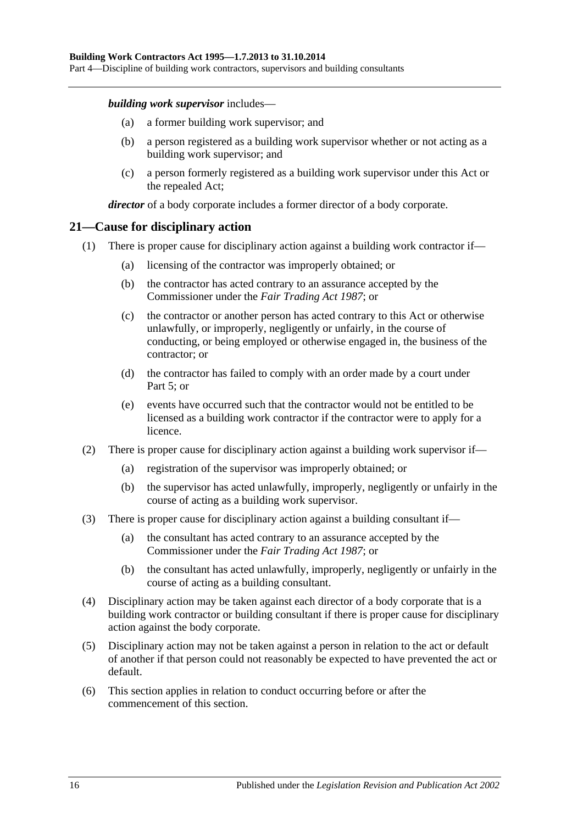Part 4—Discipline of building work contractors, supervisors and building consultants

#### *building work supervisor* includes—

- (a) a former building work supervisor; and
- (b) a person registered as a building work supervisor whether or not acting as a building work supervisor; and
- (c) a person formerly registered as a building work supervisor under this Act or the repealed Act;

*director* of a body corporate includes a former director of a body corporate.

#### <span id="page-15-0"></span>**21—Cause for disciplinary action**

- (1) There is proper cause for disciplinary action against a building work contractor if—
	- (a) licensing of the contractor was improperly obtained; or
	- (b) the contractor has acted contrary to an assurance accepted by the Commissioner under the *[Fair Trading Act](http://www.legislation.sa.gov.au/index.aspx?action=legref&type=act&legtitle=Fair%20Trading%20Act%201987) 1987*; or
	- (c) the contractor or another person has acted contrary to this Act or otherwise unlawfully, or improperly, negligently or unfairly, in the course of conducting, or being employed or otherwise engaged in, the business of the contractor; or
	- (d) the contractor has failed to comply with an order made by a court under [Part](#page-17-1) 5; or
	- (e) events have occurred such that the contractor would not be entitled to be licensed as a building work contractor if the contractor were to apply for a licence.
- (2) There is proper cause for disciplinary action against a building work supervisor if—
	- (a) registration of the supervisor was improperly obtained; or
	- (b) the supervisor has acted unlawfully, improperly, negligently or unfairly in the course of acting as a building work supervisor.
- (3) There is proper cause for disciplinary action against a building consultant if—
	- (a) the consultant has acted contrary to an assurance accepted by the Commissioner under the *[Fair Trading Act](http://www.legislation.sa.gov.au/index.aspx?action=legref&type=act&legtitle=Fair%20Trading%20Act%201987) 1987*; or
	- (b) the consultant has acted unlawfully, improperly, negligently or unfairly in the course of acting as a building consultant.
- (4) Disciplinary action may be taken against each director of a body corporate that is a building work contractor or building consultant if there is proper cause for disciplinary action against the body corporate.
- (5) Disciplinary action may not be taken against a person in relation to the act or default of another if that person could not reasonably be expected to have prevented the act or default.
- (6) This section applies in relation to conduct occurring before or after the commencement of this section.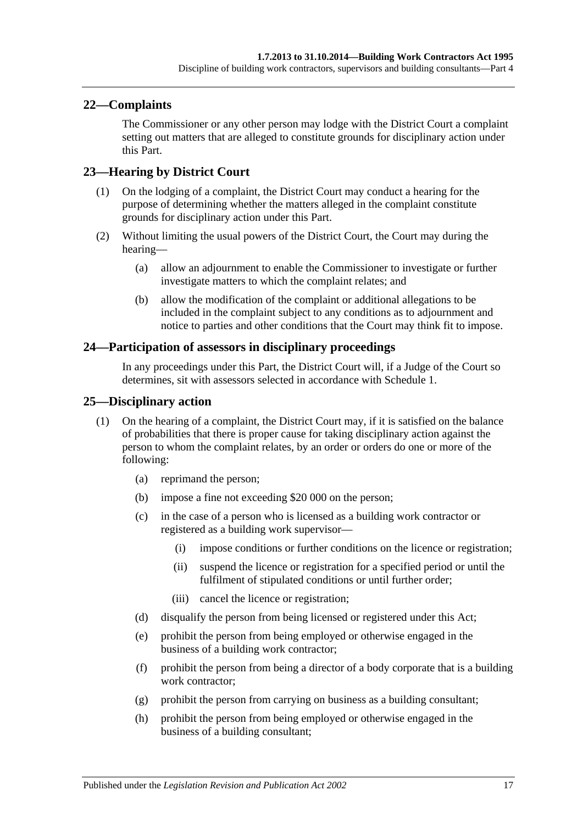### <span id="page-16-0"></span>**22—Complaints**

The Commissioner or any other person may lodge with the District Court a complaint setting out matters that are alleged to constitute grounds for disciplinary action under this Part.

### <span id="page-16-1"></span>**23—Hearing by District Court**

- (1) On the lodging of a complaint, the District Court may conduct a hearing for the purpose of determining whether the matters alleged in the complaint constitute grounds for disciplinary action under this Part.
- (2) Without limiting the usual powers of the District Court, the Court may during the hearing—
	- (a) allow an adjournment to enable the Commissioner to investigate or further investigate matters to which the complaint relates; and
	- (b) allow the modification of the complaint or additional allegations to be included in the complaint subject to any conditions as to adjournment and notice to parties and other conditions that the Court may think fit to impose.

#### <span id="page-16-2"></span>**24—Participation of assessors in disciplinary proceedings**

In any proceedings under this Part, the District Court will, if a Judge of the Court so determines, sit with assessors selected in accordance with [Schedule 1.](#page-33-0)

#### <span id="page-16-3"></span>**25—Disciplinary action**

- (1) On the hearing of a complaint, the District Court may, if it is satisfied on the balance of probabilities that there is proper cause for taking disciplinary action against the person to whom the complaint relates, by an order or orders do one or more of the following:
	- (a) reprimand the person;
	- (b) impose a fine not exceeding \$20 000 on the person;
	- (c) in the case of a person who is licensed as a building work contractor or registered as a building work supervisor—
		- (i) impose conditions or further conditions on the licence or registration;
		- (ii) suspend the licence or registration for a specified period or until the fulfilment of stipulated conditions or until further order;
		- (iii) cancel the licence or registration;
	- (d) disqualify the person from being licensed or registered under this Act;
	- (e) prohibit the person from being employed or otherwise engaged in the business of a building work contractor;
	- (f) prohibit the person from being a director of a body corporate that is a building work contractor:
	- (g) prohibit the person from carrying on business as a building consultant;
	- (h) prohibit the person from being employed or otherwise engaged in the business of a building consultant;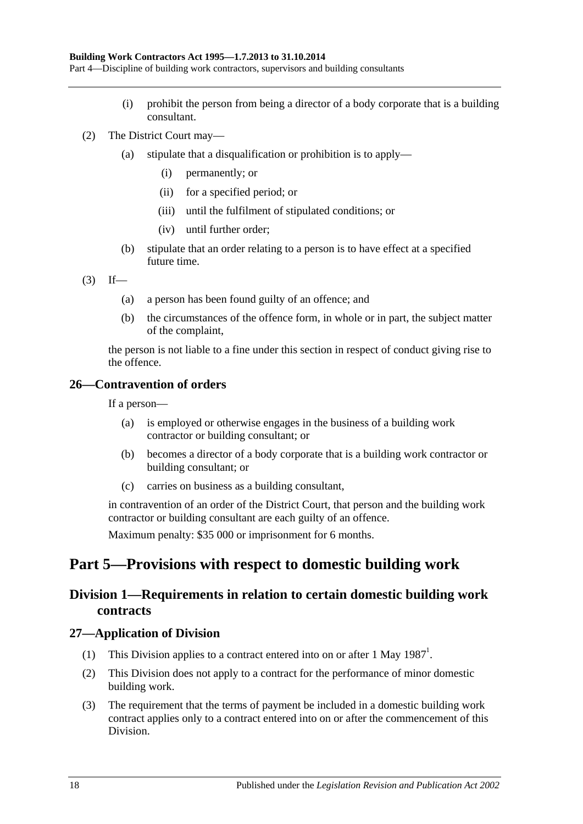Part 4—Discipline of building work contractors, supervisors and building consultants

- (i) prohibit the person from being a director of a body corporate that is a building consultant.
- (2) The District Court may—
	- (a) stipulate that a disqualification or prohibition is to apply—
		- (i) permanently; or
		- (ii) for a specified period; or
		- (iii) until the fulfilment of stipulated conditions; or
		- (iv) until further order;
	- (b) stipulate that an order relating to a person is to have effect at a specified future time.
- $(3)$  If—
	- (a) a person has been found guilty of an offence; and
	- (b) the circumstances of the offence form, in whole or in part, the subject matter of the complaint,

the person is not liable to a fine under this section in respect of conduct giving rise to the offence.

### <span id="page-17-0"></span>**26—Contravention of orders**

If a person—

- (a) is employed or otherwise engages in the business of a building work contractor or building consultant; or
- (b) becomes a director of a body corporate that is a building work contractor or building consultant; or
- (c) carries on business as a building consultant,

in contravention of an order of the District Court, that person and the building work contractor or building consultant are each guilty of an offence.

Maximum penalty: \$35 000 or imprisonment for 6 months.

## <span id="page-17-2"></span><span id="page-17-1"></span>**Part 5—Provisions with respect to domestic building work**

## **Division 1—Requirements in relation to certain domestic building work contracts**

#### <span id="page-17-3"></span>**27—Application of Division**

- (1) This Division applies to a contract entered into on or after 1 May  $1987<sup>1</sup>$ .
- (2) This Division does not apply to a contract for the performance of minor domestic building work.
- (3) The requirement that the terms of payment be included in a domestic building work contract applies only to a contract entered into on or after the commencement of this Division.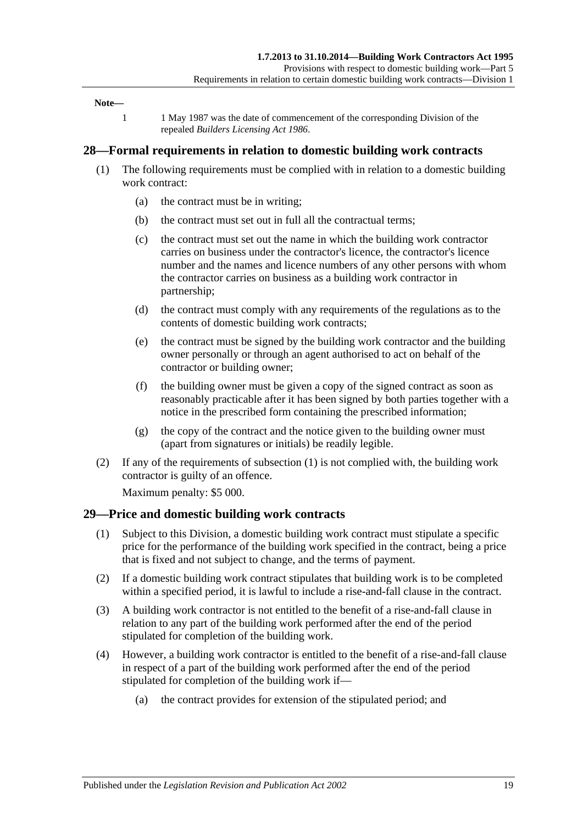#### **Note—**

1 1 May 1987 was the date of commencement of the corresponding Division of the repealed *[Builders Licensing Act](http://www.legislation.sa.gov.au/index.aspx?action=legref&type=act&legtitle=Builders%20Licensing%20Act%201986) 1986*.

#### <span id="page-18-2"></span><span id="page-18-0"></span>**28—Formal requirements in relation to domestic building work contracts**

- (1) The following requirements must be complied with in relation to a domestic building work contract:
	- (a) the contract must be in writing;
	- (b) the contract must set out in full all the contractual terms;
	- (c) the contract must set out the name in which the building work contractor carries on business under the contractor's licence, the contractor's licence number and the names and licence numbers of any other persons with whom the contractor carries on business as a building work contractor in partnership;
	- (d) the contract must comply with any requirements of the regulations as to the contents of domestic building work contracts;
	- (e) the contract must be signed by the building work contractor and the building owner personally or through an agent authorised to act on behalf of the contractor or building owner;
	- (f) the building owner must be given a copy of the signed contract as soon as reasonably practicable after it has been signed by both parties together with a notice in the prescribed form containing the prescribed information;
	- (g) the copy of the contract and the notice given to the building owner must (apart from signatures or initials) be readily legible.
- (2) If any of the requirements of [subsection](#page-18-2) (1) is not complied with, the building work contractor is guilty of an offence.

Maximum penalty: \$5 000.

#### <span id="page-18-1"></span>**29—Price and domestic building work contracts**

- (1) Subject to this Division, a domestic building work contract must stipulate a specific price for the performance of the building work specified in the contract, being a price that is fixed and not subject to change, and the terms of payment.
- (2) If a domestic building work contract stipulates that building work is to be completed within a specified period, it is lawful to include a rise-and-fall clause in the contract.
- (3) A building work contractor is not entitled to the benefit of a rise-and-fall clause in relation to any part of the building work performed after the end of the period stipulated for completion of the building work.
- (4) However, a building work contractor is entitled to the benefit of a rise-and-fall clause in respect of a part of the building work performed after the end of the period stipulated for completion of the building work if—
	- (a) the contract provides for extension of the stipulated period; and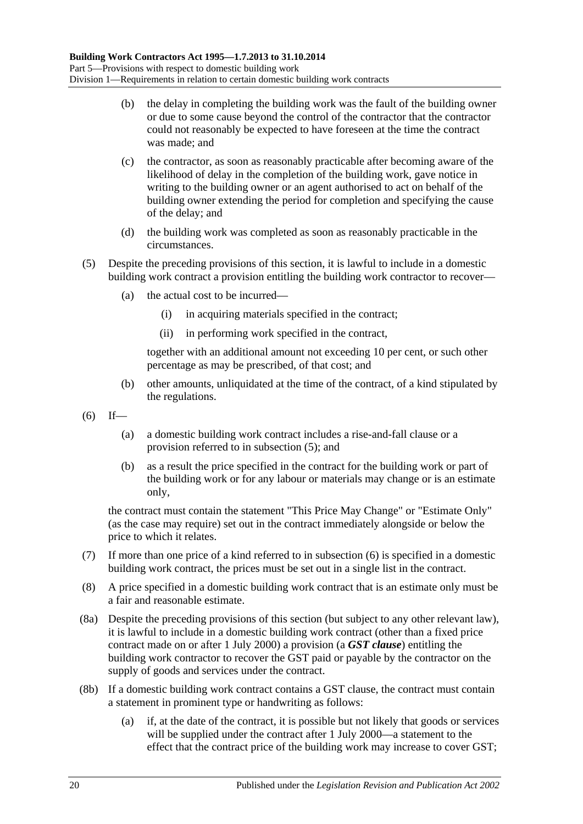- (b) the delay in completing the building work was the fault of the building owner or due to some cause beyond the control of the contractor that the contractor could not reasonably be expected to have foreseen at the time the contract was made; and
- (c) the contractor, as soon as reasonably practicable after becoming aware of the likelihood of delay in the completion of the building work, gave notice in writing to the building owner or an agent authorised to act on behalf of the building owner extending the period for completion and specifying the cause of the delay; and
- (d) the building work was completed as soon as reasonably practicable in the circumstances.
- <span id="page-19-0"></span>(5) Despite the preceding provisions of this section, it is lawful to include in a domestic building work contract a provision entitling the building work contractor to recover—
	- (a) the actual cost to be incurred—
		- (i) in acquiring materials specified in the contract;
		- (ii) in performing work specified in the contract,

together with an additional amount not exceeding 10 per cent, or such other percentage as may be prescribed, of that cost; and

- (b) other amounts, unliquidated at the time of the contract, of a kind stipulated by the regulations.
- <span id="page-19-1"></span> $(6)$  If—
	- (a) a domestic building work contract includes a rise-and-fall clause or a provision referred to in [subsection](#page-19-0) (5); and
	- (b) as a result the price specified in the contract for the building work or part of the building work or for any labour or materials may change or is an estimate only,

the contract must contain the statement "This Price May Change" or "Estimate Only" (as the case may require) set out in the contract immediately alongside or below the price to which it relates.

- (7) If more than one price of a kind referred to in [subsection](#page-19-1) (6) is specified in a domestic building work contract, the prices must be set out in a single list in the contract.
- (8) A price specified in a domestic building work contract that is an estimate only must be a fair and reasonable estimate.
- <span id="page-19-2"></span>(8a) Despite the preceding provisions of this section (but subject to any other relevant law), it is lawful to include in a domestic building work contract (other than a fixed price contract made on or after 1 July 2000) a provision (a *GST clause*) entitling the building work contractor to recover the GST paid or payable by the contractor on the supply of goods and services under the contract.
- (8b) If a domestic building work contract contains a GST clause, the contract must contain a statement in prominent type or handwriting as follows:
	- (a) if, at the date of the contract, it is possible but not likely that goods or services will be supplied under the contract after 1 July 2000—a statement to the effect that the contract price of the building work may increase to cover GST;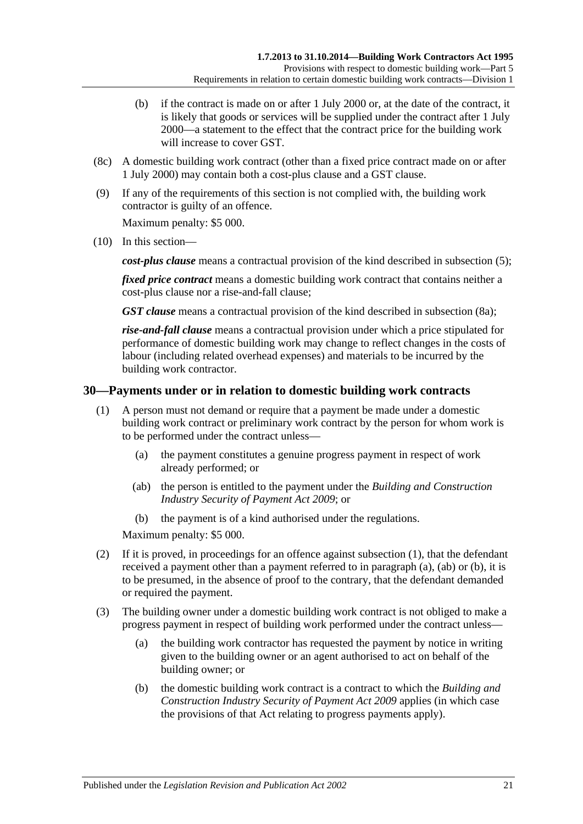- (b) if the contract is made on or after 1 July 2000 or, at the date of the contract, it is likely that goods or services will be supplied under the contract after 1 July 2000—a statement to the effect that the contract price for the building work will increase to cover GST.
- (8c) A domestic building work contract (other than a fixed price contract made on or after 1 July 2000) may contain both a cost-plus clause and a GST clause.
- (9) If any of the requirements of this section is not complied with, the building work contractor is guilty of an offence.

Maximum penalty: \$5 000.

(10) In this section—

*cost-plus clause* means a contractual provision of the kind described in [subsection](#page-19-0) (5);

*fixed price contract* means a domestic building work contract that contains neither a cost-plus clause nor a rise-and-fall clause;

*GST clause* means a contractual provision of the kind described in [subsection](#page-19-2) (8a);

*rise-and-fall clause* means a contractual provision under which a price stipulated for performance of domestic building work may change to reflect changes in the costs of labour (including related overhead expenses) and materials to be incurred by the building work contractor.

#### <span id="page-20-1"></span><span id="page-20-0"></span>**30—Payments under or in relation to domestic building work contracts**

- <span id="page-20-2"></span>(1) A person must not demand or require that a payment be made under a domestic building work contract or preliminary work contract by the person for whom work is to be performed under the contract unless—
	- (a) the payment constitutes a genuine progress payment in respect of work already performed; or
	- (ab) the person is entitled to the payment under the *[Building and Construction](http://www.legislation.sa.gov.au/index.aspx?action=legref&type=act&legtitle=Building%20and%20Construction%20Industry%20Security%20of%20Payment%20Act%202009)  [Industry Security of Payment Act](http://www.legislation.sa.gov.au/index.aspx?action=legref&type=act&legtitle=Building%20and%20Construction%20Industry%20Security%20of%20Payment%20Act%202009) 2009*; or
	- (b) the payment is of a kind authorised under the regulations.

<span id="page-20-3"></span>Maximum penalty: \$5 000.

- <span id="page-20-4"></span>(2) If it is proved, in proceedings for an offence against [subsection](#page-20-1) (1), that the defendant received a payment other than a payment referred to in [paragraph](#page-20-2) (a), [\(ab\)](#page-20-3) or [\(b\),](#page-20-4) it is to be presumed, in the absence of proof to the contrary, that the defendant demanded or required the payment.
- (3) The building owner under a domestic building work contract is not obliged to make a progress payment in respect of building work performed under the contract unless—
	- (a) the building work contractor has requested the payment by notice in writing given to the building owner or an agent authorised to act on behalf of the building owner; or
	- (b) the domestic building work contract is a contract to which the *[Building and](http://www.legislation.sa.gov.au/index.aspx?action=legref&type=act&legtitle=Building%20and%20Construction%20Industry%20Security%20of%20Payment%20Act%202009)  [Construction Industry Security of Payment Act](http://www.legislation.sa.gov.au/index.aspx?action=legref&type=act&legtitle=Building%20and%20Construction%20Industry%20Security%20of%20Payment%20Act%202009) 2009* applies (in which case the provisions of that Act relating to progress payments apply).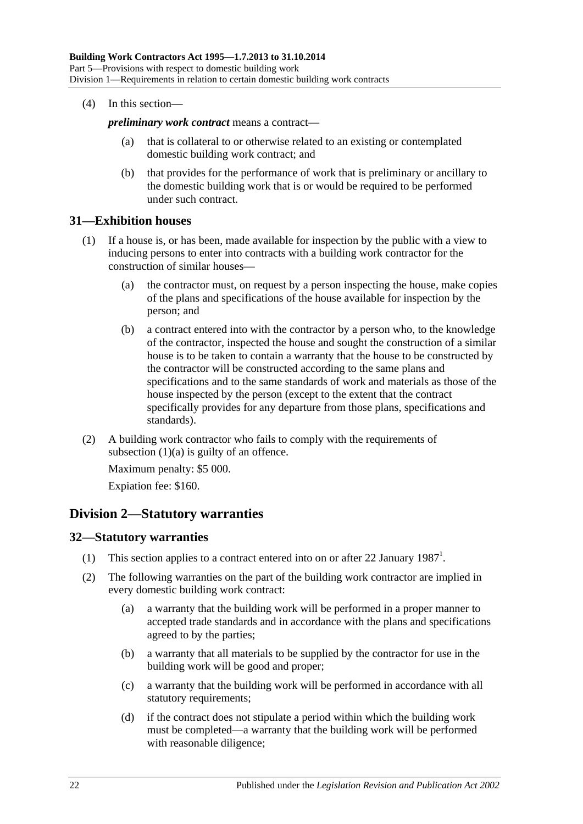(4) In this section—

*preliminary work contract* means a contract—

- (a) that is collateral to or otherwise related to an existing or contemplated domestic building work contract; and
- (b) that provides for the performance of work that is preliminary or ancillary to the domestic building work that is or would be required to be performed under such contract.

#### <span id="page-21-0"></span>**31—Exhibition houses**

- <span id="page-21-3"></span>(1) If a house is, or has been, made available for inspection by the public with a view to inducing persons to enter into contracts with a building work contractor for the construction of similar houses—
	- (a) the contractor must, on request by a person inspecting the house, make copies of the plans and specifications of the house available for inspection by the person; and
	- (b) a contract entered into with the contractor by a person who, to the knowledge of the contractor, inspected the house and sought the construction of a similar house is to be taken to contain a warranty that the house to be constructed by the contractor will be constructed according to the same plans and specifications and to the same standards of work and materials as those of the house inspected by the person (except to the extent that the contract specifically provides for any departure from those plans, specifications and standards).
- (2) A building work contractor who fails to comply with the requirements of [subsection](#page-21-3)  $(1)(a)$  is guilty of an offence.

Maximum penalty: \$5 000. Expiation fee: \$160.

## <span id="page-21-1"></span>**Division 2—Statutory warranties**

#### <span id="page-21-2"></span>**32—Statutory warranties**

- (1) This section applies to a contract entered into on or after 22 January 1987<sup>1</sup>.
- (2) The following warranties on the part of the building work contractor are implied in every domestic building work contract:
	- (a) a warranty that the building work will be performed in a proper manner to accepted trade standards and in accordance with the plans and specifications agreed to by the parties;
	- (b) a warranty that all materials to be supplied by the contractor for use in the building work will be good and proper;
	- (c) a warranty that the building work will be performed in accordance with all statutory requirements;
	- (d) if the contract does not stipulate a period within which the building work must be completed—a warranty that the building work will be performed with reasonable diligence;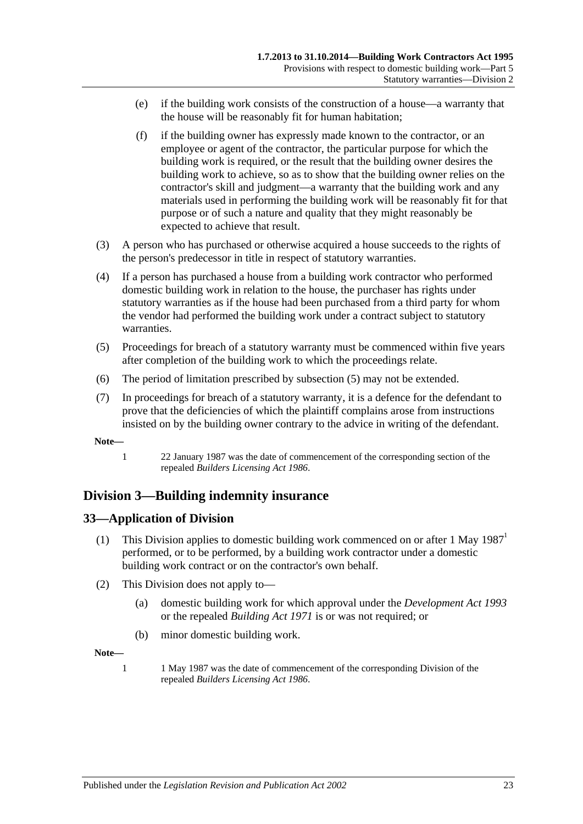- (e) if the building work consists of the construction of a house—a warranty that the house will be reasonably fit for human habitation;
- (f) if the building owner has expressly made known to the contractor, or an employee or agent of the contractor, the particular purpose for which the building work is required, or the result that the building owner desires the building work to achieve, so as to show that the building owner relies on the contractor's skill and judgment—a warranty that the building work and any materials used in performing the building work will be reasonably fit for that purpose or of such a nature and quality that they might reasonably be expected to achieve that result.
- (3) A person who has purchased or otherwise acquired a house succeeds to the rights of the person's predecessor in title in respect of statutory warranties.
- (4) If a person has purchased a house from a building work contractor who performed domestic building work in relation to the house, the purchaser has rights under statutory warranties as if the house had been purchased from a third party for whom the vendor had performed the building work under a contract subject to statutory warranties.
- <span id="page-22-2"></span>(5) Proceedings for breach of a statutory warranty must be commenced within five years after completion of the building work to which the proceedings relate.
- (6) The period of limitation prescribed by [subsection](#page-22-2) (5) may not be extended.
- (7) In proceedings for breach of a statutory warranty, it is a defence for the defendant to prove that the deficiencies of which the plaintiff complains arose from instructions insisted on by the building owner contrary to the advice in writing of the defendant.

**Note—**

1 22 January 1987 was the date of commencement of the corresponding section of the repealed *[Builders Licensing Act](http://www.legislation.sa.gov.au/index.aspx?action=legref&type=act&legtitle=Builders%20Licensing%20Act%201986) 1986*.

## <span id="page-22-0"></span>**Division 3—Building indemnity insurance**

#### <span id="page-22-1"></span>**33—Application of Division**

- (1) This Division applies to domestic building work commenced on or after 1 May  $1987<sup>1</sup>$ performed, or to be performed, by a building work contractor under a domestic building work contract or on the contractor's own behalf.
- (2) This Division does not apply to—
	- (a) domestic building work for which approval under the *[Development Act](http://www.legislation.sa.gov.au/index.aspx?action=legref&type=act&legtitle=Development%20Act%201993) 1993* or the repealed *[Building Act](http://www.legislation.sa.gov.au/index.aspx?action=legref&type=act&legtitle=Building%20Act%201971) 1971* is or was not required; or
	- (b) minor domestic building work.

**Note—**

1 1 May 1987 was the date of commencement of the corresponding Division of the repealed *[Builders Licensing Act](http://www.legislation.sa.gov.au/index.aspx?action=legref&type=act&legtitle=Builders%20Licensing%20Act%201986) 1986*.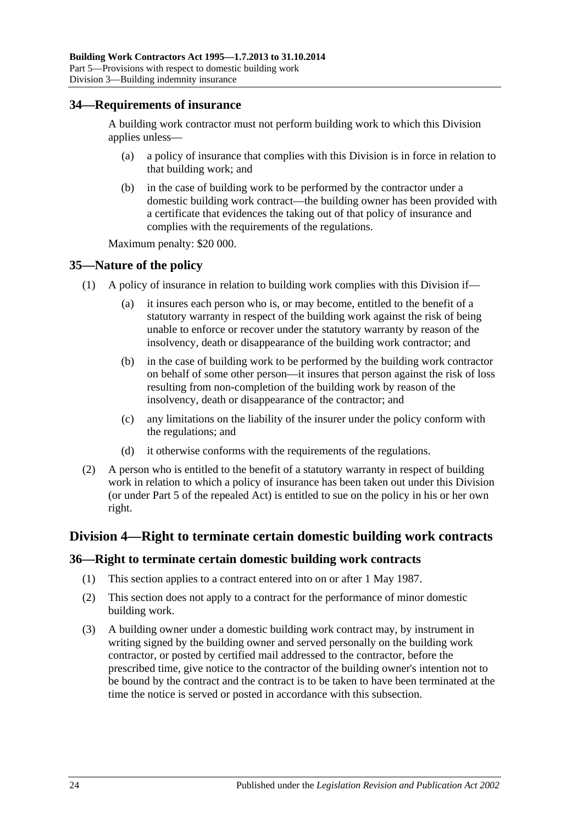#### <span id="page-23-0"></span>**34—Requirements of insurance**

A building work contractor must not perform building work to which this Division applies unless-

- (a) a policy of insurance that complies with this Division is in force in relation to that building work; and
- (b) in the case of building work to be performed by the contractor under a domestic building work contract—the building owner has been provided with a certificate that evidences the taking out of that policy of insurance and complies with the requirements of the regulations.

Maximum penalty: \$20 000.

#### <span id="page-23-1"></span>**35—Nature of the policy**

- (1) A policy of insurance in relation to building work complies with this Division if—
	- (a) it insures each person who is, or may become, entitled to the benefit of a statutory warranty in respect of the building work against the risk of being unable to enforce or recover under the statutory warranty by reason of the insolvency, death or disappearance of the building work contractor; and
	- (b) in the case of building work to be performed by the building work contractor on behalf of some other person—it insures that person against the risk of loss resulting from non-completion of the building work by reason of the insolvency, death or disappearance of the contractor; and
	- (c) any limitations on the liability of the insurer under the policy conform with the regulations; and
	- (d) it otherwise conforms with the requirements of the regulations.
- (2) A person who is entitled to the benefit of a statutory warranty in respect of building work in relation to which a policy of insurance has been taken out under this Division (or under Part 5 of the repealed Act) is entitled to sue on the policy in his or her own right.

#### <span id="page-23-2"></span>**Division 4—Right to terminate certain domestic building work contracts**

#### <span id="page-23-3"></span>**36—Right to terminate certain domestic building work contracts**

- (1) This section applies to a contract entered into on or after 1 May 1987.
- (2) This section does not apply to a contract for the performance of minor domestic building work.
- <span id="page-23-4"></span>(3) A building owner under a domestic building work contract may, by instrument in writing signed by the building owner and served personally on the building work contractor, or posted by certified mail addressed to the contractor, before the prescribed time, give notice to the contractor of the building owner's intention not to be bound by the contract and the contract is to be taken to have been terminated at the time the notice is served or posted in accordance with this subsection.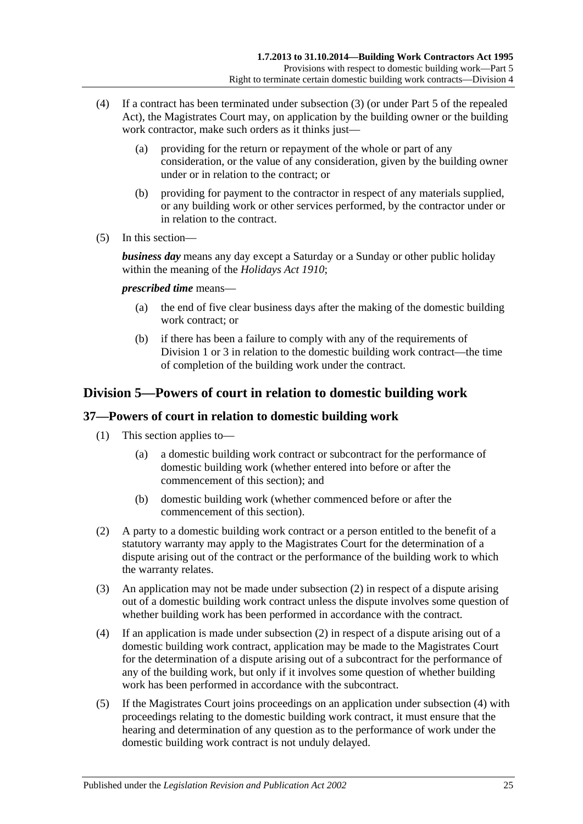- (4) If a contract has been terminated under [subsection](#page-23-4) (3) (or under Part 5 of the repealed Act), the Magistrates Court may, on application by the building owner or the building work contractor, make such orders as it thinks just—
	- (a) providing for the return or repayment of the whole or part of any consideration, or the value of any consideration, given by the building owner under or in relation to the contract; or
	- (b) providing for payment to the contractor in respect of any materials supplied, or any building work or other services performed, by the contractor under or in relation to the contract.
- (5) In this section—

*business day* means any day except a Saturday or a Sunday or other public holiday within the meaning of the *[Holidays Act](http://www.legislation.sa.gov.au/index.aspx?action=legref&type=act&legtitle=Holidays%20Act%201910) 1910*;

*prescribed time* means—

- (a) the end of five clear business days after the making of the domestic building work contract; or
- (b) if there has been a failure to comply with any of the requirements of [Division](#page-17-2) 1 or [3](#page-22-0) in relation to the domestic building work contract—the time of completion of the building work under the contract.

## <span id="page-24-0"></span>**Division 5—Powers of court in relation to domestic building work**

## <span id="page-24-1"></span>**37—Powers of court in relation to domestic building work**

- (1) This section applies to—
	- (a) a domestic building work contract or subcontract for the performance of domestic building work (whether entered into before or after the commencement of this section); and
	- (b) domestic building work (whether commenced before or after the commencement of this section).
- <span id="page-24-2"></span>(2) A party to a domestic building work contract or a person entitled to the benefit of a statutory warranty may apply to the Magistrates Court for the determination of a dispute arising out of the contract or the performance of the building work to which the warranty relates.
- (3) An application may not be made under [subsection](#page-24-2) (2) in respect of a dispute arising out of a domestic building work contract unless the dispute involves some question of whether building work has been performed in accordance with the contract.
- <span id="page-24-3"></span>(4) If an application is made under [subsection](#page-24-2) (2) in respect of a dispute arising out of a domestic building work contract, application may be made to the Magistrates Court for the determination of a dispute arising out of a subcontract for the performance of any of the building work, but only if it involves some question of whether building work has been performed in accordance with the subcontract.
- (5) If the Magistrates Court joins proceedings on an application under [subsection](#page-24-3) (4) with proceedings relating to the domestic building work contract, it must ensure that the hearing and determination of any question as to the performance of work under the domestic building work contract is not unduly delayed.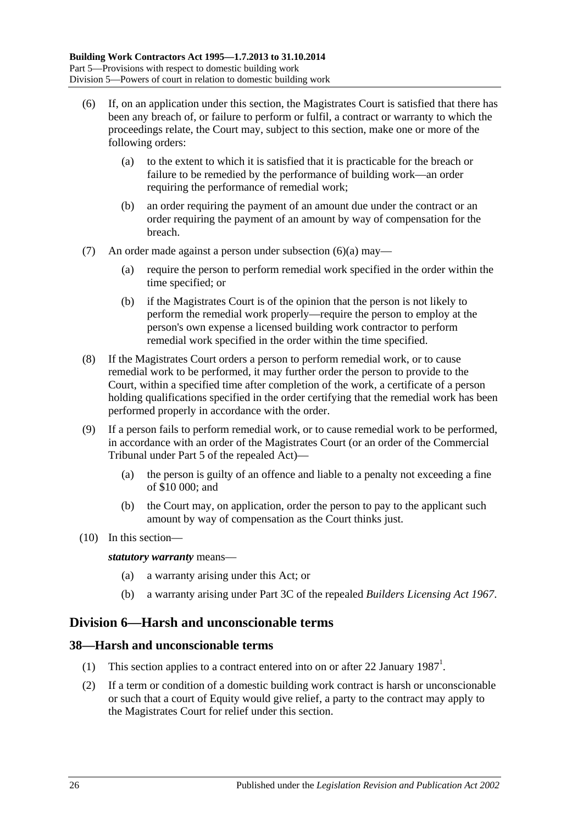- <span id="page-25-2"></span>(6) If, on an application under this section, the Magistrates Court is satisfied that there has been any breach of, or failure to perform or fulfil, a contract or warranty to which the proceedings relate, the Court may, subject to this section, make one or more of the following orders:
	- (a) to the extent to which it is satisfied that it is practicable for the breach or failure to be remedied by the performance of building work—an order requiring the performance of remedial work;
	- (b) an order requiring the payment of an amount due under the contract or an order requiring the payment of an amount by way of compensation for the breach.
- (7) An order made against a person under [subsection](#page-25-2) (6)(a) may—
	- (a) require the person to perform remedial work specified in the order within the time specified; or
	- (b) if the Magistrates Court is of the opinion that the person is not likely to perform the remedial work properly—require the person to employ at the person's own expense a licensed building work contractor to perform remedial work specified in the order within the time specified.
- (8) If the Magistrates Court orders a person to perform remedial work, or to cause remedial work to be performed, it may further order the person to provide to the Court, within a specified time after completion of the work, a certificate of a person holding qualifications specified in the order certifying that the remedial work has been performed properly in accordance with the order.
- (9) If a person fails to perform remedial work, or to cause remedial work to be performed, in accordance with an order of the Magistrates Court (or an order of the Commercial Tribunal under Part 5 of the repealed Act)—
	- (a) the person is guilty of an offence and liable to a penalty not exceeding a fine of \$10 000; and
	- (b) the Court may, on application, order the person to pay to the applicant such amount by way of compensation as the Court thinks just.
- (10) In this section—

*statutory warranty* means—

- (a) a warranty arising under this Act; or
- (b) a warranty arising under Part 3C of the repealed *[Builders Licensing Act](http://www.legislation.sa.gov.au/index.aspx?action=legref&type=act&legtitle=Builders%20Licensing%20Act%201967) 1967*.

## <span id="page-25-0"></span>**Division 6—Harsh and unconscionable terms**

#### <span id="page-25-1"></span>**38—Harsh and unconscionable terms**

- (1) This section applies to a contract entered into on or after 22 January  $1987<sup>1</sup>$ .
- <span id="page-25-3"></span>(2) If a term or condition of a domestic building work contract is harsh or unconscionable or such that a court of Equity would give relief, a party to the contract may apply to the Magistrates Court for relief under this section.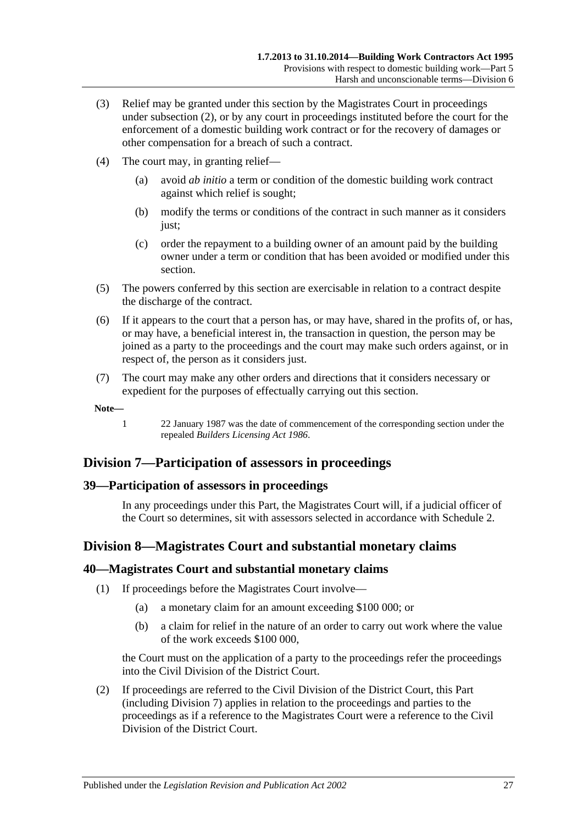- (3) Relief may be granted under this section by the Magistrates Court in proceedings under [subsection](#page-25-3) (2), or by any court in proceedings instituted before the court for the enforcement of a domestic building work contract or for the recovery of damages or other compensation for a breach of such a contract.
- (4) The court may, in granting relief—
	- (a) avoid *ab initio* a term or condition of the domestic building work contract against which relief is sought;
	- (b) modify the terms or conditions of the contract in such manner as it considers just;
	- (c) order the repayment to a building owner of an amount paid by the building owner under a term or condition that has been avoided or modified under this section.
- (5) The powers conferred by this section are exercisable in relation to a contract despite the discharge of the contract.
- (6) If it appears to the court that a person has, or may have, shared in the profits of, or has, or may have, a beneficial interest in, the transaction in question, the person may be joined as a party to the proceedings and the court may make such orders against, or in respect of, the person as it considers just.
- (7) The court may make any other orders and directions that it considers necessary or expedient for the purposes of effectually carrying out this section.

**Note—**

1 22 January 1987 was the date of commencement of the corresponding section under the repealed *[Builders Licensing Act](http://www.legislation.sa.gov.au/index.aspx?action=legref&type=act&legtitle=Builders%20Licensing%20Act%201986) 1986*.

## <span id="page-26-0"></span>**Division 7—Participation of assessors in proceedings**

#### <span id="page-26-1"></span>**39—Participation of assessors in proceedings**

In any proceedings under this Part, the Magistrates Court will, if a judicial officer of the Court so determines, sit with assessors selected in accordance with [Schedule 2.](#page-34-0)

## <span id="page-26-2"></span>**Division 8—Magistrates Court and substantial monetary claims**

#### <span id="page-26-3"></span>**40—Magistrates Court and substantial monetary claims**

- (1) If proceedings before the Magistrates Court involve—
	- (a) a monetary claim for an amount exceeding \$100 000; or
	- (b) a claim for relief in the nature of an order to carry out work where the value of the work exceeds \$100 000,

the Court must on the application of a party to the proceedings refer the proceedings into the Civil Division of the District Court.

(2) If proceedings are referred to the Civil Division of the District Court, this Part (including [Division 7\)](#page-26-0) applies in relation to the proceedings and parties to the proceedings as if a reference to the Magistrates Court were a reference to the Civil Division of the District Court.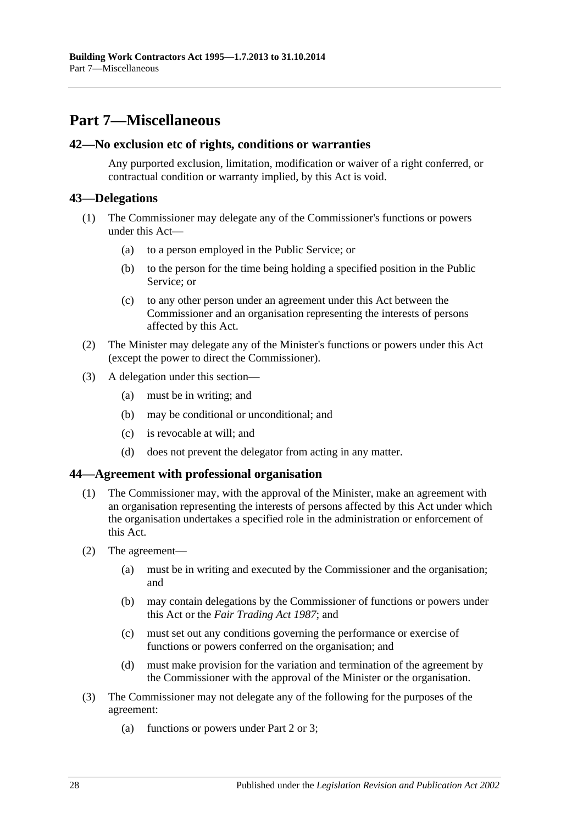## <span id="page-27-0"></span>**Part 7—Miscellaneous**

#### <span id="page-27-1"></span>**42—No exclusion etc of rights, conditions or warranties**

Any purported exclusion, limitation, modification or waiver of a right conferred, or contractual condition or warranty implied, by this Act is void.

### <span id="page-27-2"></span>**43—Delegations**

- (1) The Commissioner may delegate any of the Commissioner's functions or powers under this Act—
	- (a) to a person employed in the Public Service; or
	- (b) to the person for the time being holding a specified position in the Public Service; or
	- (c) to any other person under an agreement under this Act between the Commissioner and an organisation representing the interests of persons affected by this Act.
- (2) The Minister may delegate any of the Minister's functions or powers under this Act (except the power to direct the Commissioner).
- (3) A delegation under this section—
	- (a) must be in writing; and
	- (b) may be conditional or unconditional; and
	- (c) is revocable at will; and
	- (d) does not prevent the delegator from acting in any matter.

#### <span id="page-27-3"></span>**44—Agreement with professional organisation**

- (1) The Commissioner may, with the approval of the Minister, make an agreement with an organisation representing the interests of persons affected by this Act under which the organisation undertakes a specified role in the administration or enforcement of this Act.
- (2) The agreement—
	- (a) must be in writing and executed by the Commissioner and the organisation; and
	- (b) may contain delegations by the Commissioner of functions or powers under this Act or the *[Fair Trading Act](http://www.legislation.sa.gov.au/index.aspx?action=legref&type=act&legtitle=Fair%20Trading%20Act%201987) 1987*; and
	- (c) must set out any conditions governing the performance or exercise of functions or powers conferred on the organisation; and
	- (d) must make provision for the variation and termination of the agreement by the Commissioner with the approval of the Minister or the organisation.
- (3) The Commissioner may not delegate any of the following for the purposes of the agreement:
	- (a) functions or powers under [Part 2](#page-4-2) or [3;](#page-9-0)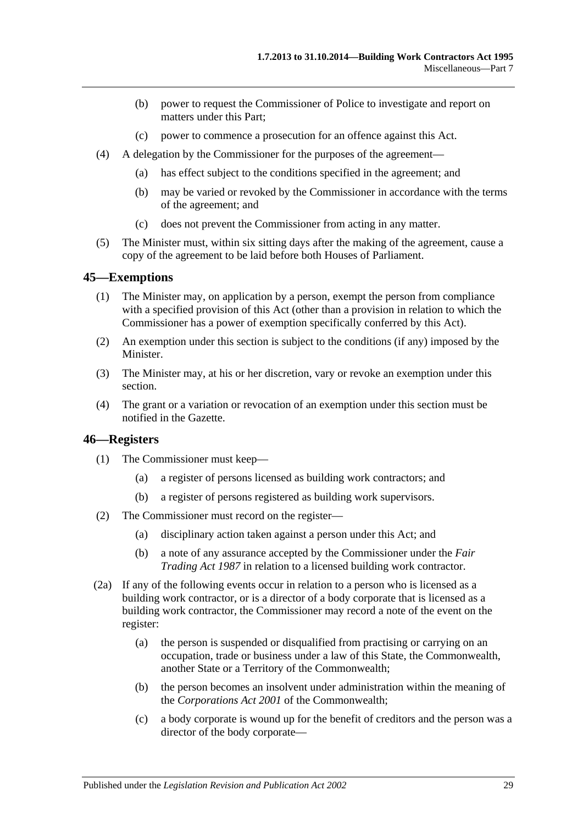- (b) power to request the Commissioner of Police to investigate and report on matters under this Part;
- (c) power to commence a prosecution for an offence against this Act.
- (4) A delegation by the Commissioner for the purposes of the agreement—
	- (a) has effect subject to the conditions specified in the agreement; and
	- (b) may be varied or revoked by the Commissioner in accordance with the terms of the agreement; and
	- (c) does not prevent the Commissioner from acting in any matter.
- (5) The Minister must, within six sitting days after the making of the agreement, cause a copy of the agreement to be laid before both Houses of Parliament.

#### <span id="page-28-0"></span>**45—Exemptions**

- (1) The Minister may, on application by a person, exempt the person from compliance with a specified provision of this Act (other than a provision in relation to which the Commissioner has a power of exemption specifically conferred by this Act).
- (2) An exemption under this section is subject to the conditions (if any) imposed by the Minister.
- (3) The Minister may, at his or her discretion, vary or revoke an exemption under this section.
- (4) The grant or a variation or revocation of an exemption under this section must be notified in the Gazette.

#### <span id="page-28-1"></span>**46—Registers**

- (1) The Commissioner must keep—
	- (a) a register of persons licensed as building work contractors; and
	- (b) a register of persons registered as building work supervisors.
- (2) The Commissioner must record on the register—
	- (a) disciplinary action taken against a person under this Act; and
	- (b) a note of any assurance accepted by the Commissioner under the *[Fair](http://www.legislation.sa.gov.au/index.aspx?action=legref&type=act&legtitle=Fair%20Trading%20Act%201987)  [Trading Act](http://www.legislation.sa.gov.au/index.aspx?action=legref&type=act&legtitle=Fair%20Trading%20Act%201987) 1987* in relation to a licensed building work contractor.
- (2a) If any of the following events occur in relation to a person who is licensed as a building work contractor, or is a director of a body corporate that is licensed as a building work contractor, the Commissioner may record a note of the event on the register:
	- (a) the person is suspended or disqualified from practising or carrying on an occupation, trade or business under a law of this State, the Commonwealth, another State or a Territory of the Commonwealth;
	- (b) the person becomes an insolvent under administration within the meaning of the *Corporations Act 2001* of the Commonwealth;
	- (c) a body corporate is wound up for the benefit of creditors and the person was a director of the body corporate—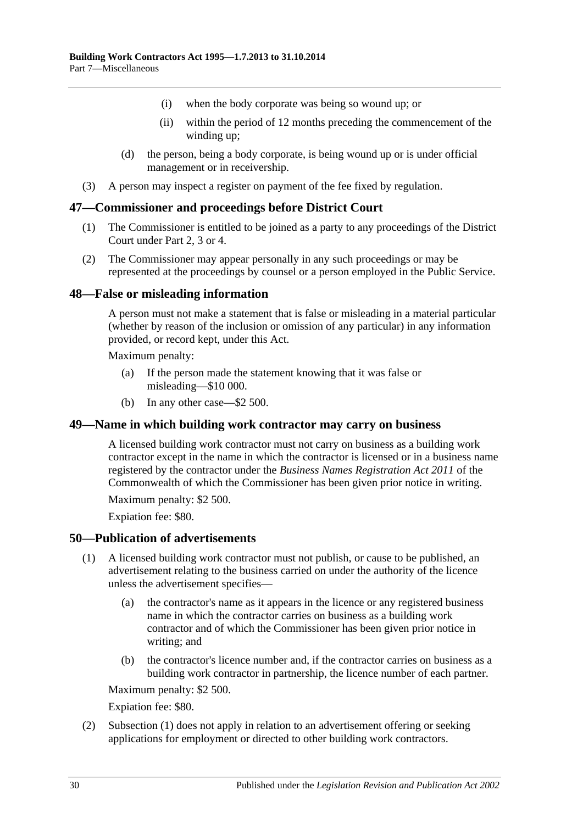- (i) when the body corporate was being so wound up; or
- (ii) within the period of 12 months preceding the commencement of the winding up;
- (d) the person, being a body corporate, is being wound up or is under official management or in receivership.
- (3) A person may inspect a register on payment of the fee fixed by regulation.

#### <span id="page-29-0"></span>**47—Commissioner and proceedings before District Court**

- (1) The Commissioner is entitled to be joined as a party to any proceedings of the District Court under [Part 2,](#page-4-2) [3](#page-9-0) or [4.](#page-14-0)
- (2) The Commissioner may appear personally in any such proceedings or may be represented at the proceedings by counsel or a person employed in the Public Service.

#### <span id="page-29-1"></span>**48—False or misleading information**

A person must not make a statement that is false or misleading in a material particular (whether by reason of the inclusion or omission of any particular) in any information provided, or record kept, under this Act.

Maximum penalty:

- (a) If the person made the statement knowing that it was false or misleading—\$10 000.
- (b) In any other case—\$2 500.

#### <span id="page-29-2"></span>**49—Name in which building work contractor may carry on business**

A licensed building work contractor must not carry on business as a building work contractor except in the name in which the contractor is licensed or in a business name registered by the contractor under the *Business Names Registration Act 2011* of the Commonwealth of which the Commissioner has been given prior notice in writing.

Maximum penalty: \$2 500.

Expiation fee: \$80.

#### <span id="page-29-4"></span><span id="page-29-3"></span>**50—Publication of advertisements**

- (1) A licensed building work contractor must not publish, or cause to be published, an advertisement relating to the business carried on under the authority of the licence unless the advertisement specifies—
	- (a) the contractor's name as it appears in the licence or any registered business name in which the contractor carries on business as a building work contractor and of which the Commissioner has been given prior notice in writing; and
	- (b) the contractor's licence number and, if the contractor carries on business as a building work contractor in partnership, the licence number of each partner.

Maximum penalty: \$2 500.

Expiation fee: \$80.

(2) [Subsection](#page-29-4) (1) does not apply in relation to an advertisement offering or seeking applications for employment or directed to other building work contractors.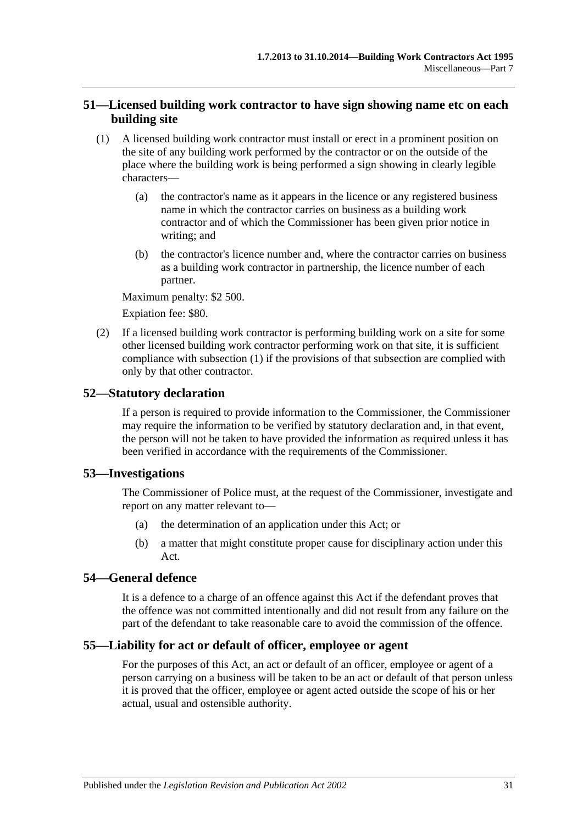### <span id="page-30-0"></span>**51—Licensed building work contractor to have sign showing name etc on each building site**

- <span id="page-30-5"></span>(1) A licensed building work contractor must install or erect in a prominent position on the site of any building work performed by the contractor or on the outside of the place where the building work is being performed a sign showing in clearly legible characters—
	- (a) the contractor's name as it appears in the licence or any registered business name in which the contractor carries on business as a building work contractor and of which the Commissioner has been given prior notice in writing; and
	- (b) the contractor's licence number and, where the contractor carries on business as a building work contractor in partnership, the licence number of each partner.

Maximum penalty: \$2 500.

Expiation fee: \$80.

(2) If a licensed building work contractor is performing building work on a site for some other licensed building work contractor performing work on that site, it is sufficient compliance with [subsection](#page-30-5) (1) if the provisions of that subsection are complied with only by that other contractor.

#### <span id="page-30-1"></span>**52—Statutory declaration**

If a person is required to provide information to the Commissioner, the Commissioner may require the information to be verified by statutory declaration and, in that event, the person will not be taken to have provided the information as required unless it has been verified in accordance with the requirements of the Commissioner.

#### <span id="page-30-2"></span>**53—Investigations**

The Commissioner of Police must, at the request of the Commissioner, investigate and report on any matter relevant to—

- (a) the determination of an application under this Act; or
- (b) a matter that might constitute proper cause for disciplinary action under this Act.

#### <span id="page-30-3"></span>**54—General defence**

It is a defence to a charge of an offence against this Act if the defendant proves that the offence was not committed intentionally and did not result from any failure on the part of the defendant to take reasonable care to avoid the commission of the offence.

#### <span id="page-30-4"></span>**55—Liability for act or default of officer, employee or agent**

For the purposes of this Act, an act or default of an officer, employee or agent of a person carrying on a business will be taken to be an act or default of that person unless it is proved that the officer, employee or agent acted outside the scope of his or her actual, usual and ostensible authority.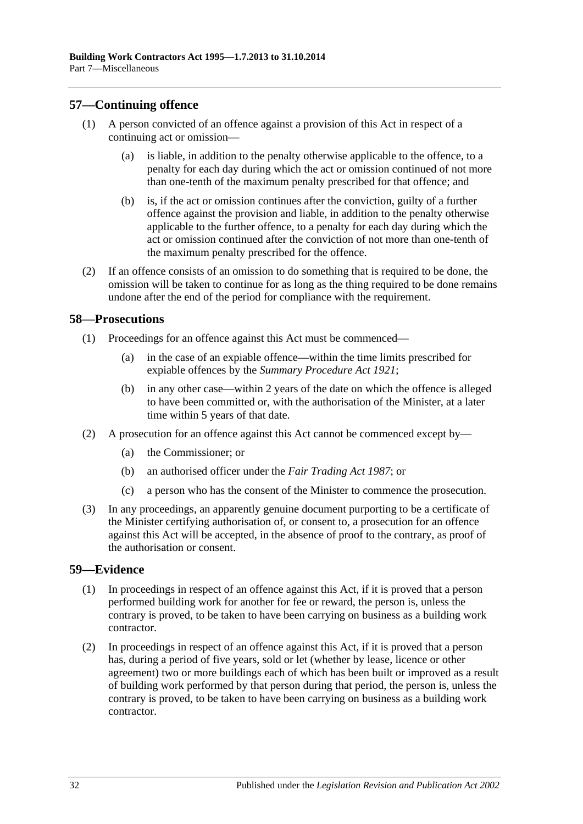### <span id="page-31-0"></span>**57—Continuing offence**

- (1) A person convicted of an offence against a provision of this Act in respect of a continuing act or omission—
	- (a) is liable, in addition to the penalty otherwise applicable to the offence, to a penalty for each day during which the act or omission continued of not more than one-tenth of the maximum penalty prescribed for that offence; and
	- (b) is, if the act or omission continues after the conviction, guilty of a further offence against the provision and liable, in addition to the penalty otherwise applicable to the further offence, to a penalty for each day during which the act or omission continued after the conviction of not more than one-tenth of the maximum penalty prescribed for the offence.
- (2) If an offence consists of an omission to do something that is required to be done, the omission will be taken to continue for as long as the thing required to be done remains undone after the end of the period for compliance with the requirement.

#### <span id="page-31-1"></span>**58—Prosecutions**

- (1) Proceedings for an offence against this Act must be commenced—
	- (a) in the case of an expiable offence—within the time limits prescribed for expiable offences by the *[Summary Procedure Act](http://www.legislation.sa.gov.au/index.aspx?action=legref&type=act&legtitle=Summary%20Procedure%20Act%201921) 1921*;
	- (b) in any other case—within 2 years of the date on which the offence is alleged to have been committed or, with the authorisation of the Minister, at a later time within 5 years of that date.
- (2) A prosecution for an offence against this Act cannot be commenced except by—
	- (a) the Commissioner; or
	- (b) an authorised officer under the *[Fair Trading Act](http://www.legislation.sa.gov.au/index.aspx?action=legref&type=act&legtitle=Fair%20Trading%20Act%201987) 1987*; or
	- (c) a person who has the consent of the Minister to commence the prosecution.
- (3) In any proceedings, an apparently genuine document purporting to be a certificate of the Minister certifying authorisation of, or consent to, a prosecution for an offence against this Act will be accepted, in the absence of proof to the contrary, as proof of the authorisation or consent.

#### <span id="page-31-2"></span>**59—Evidence**

- (1) In proceedings in respect of an offence against this Act, if it is proved that a person performed building work for another for fee or reward, the person is, unless the contrary is proved, to be taken to have been carrying on business as a building work contractor.
- (2) In proceedings in respect of an offence against this Act, if it is proved that a person has, during a period of five years, sold or let (whether by lease, licence or other agreement) two or more buildings each of which has been built or improved as a result of building work performed by that person during that period, the person is, unless the contrary is proved, to be taken to have been carrying on business as a building work contractor.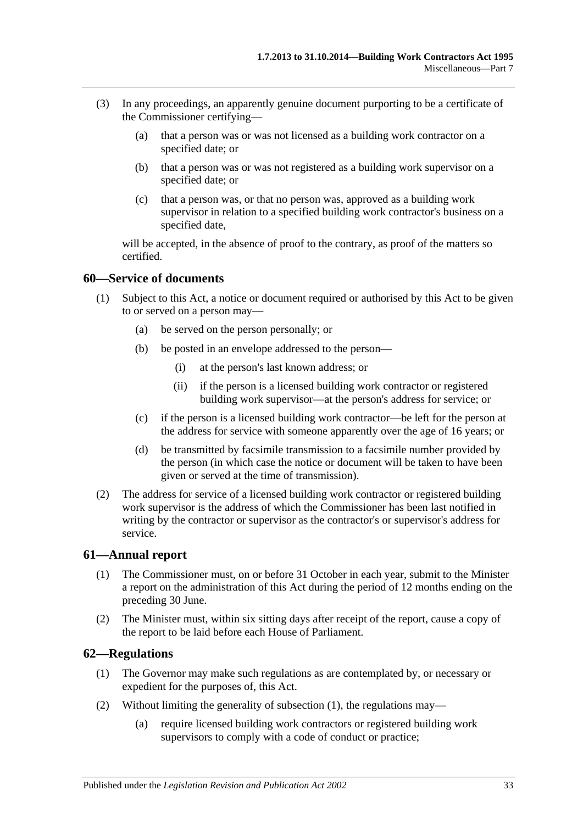- (3) In any proceedings, an apparently genuine document purporting to be a certificate of the Commissioner certifying—
	- (a) that a person was or was not licensed as a building work contractor on a specified date; or
	- (b) that a person was or was not registered as a building work supervisor on a specified date; or
	- (c) that a person was, or that no person was, approved as a building work supervisor in relation to a specified building work contractor's business on a specified date,

will be accepted, in the absence of proof to the contrary, as proof of the matters so certified.

#### <span id="page-32-0"></span>**60—Service of documents**

- (1) Subject to this Act, a notice or document required or authorised by this Act to be given to or served on a person may—
	- (a) be served on the person personally; or
	- (b) be posted in an envelope addressed to the person—
		- (i) at the person's last known address; or
		- (ii) if the person is a licensed building work contractor or registered building work supervisor—at the person's address for service; or
	- (c) if the person is a licensed building work contractor—be left for the person at the address for service with someone apparently over the age of 16 years; or
	- (d) be transmitted by facsimile transmission to a facsimile number provided by the person (in which case the notice or document will be taken to have been given or served at the time of transmission).
- (2) The address for service of a licensed building work contractor or registered building work supervisor is the address of which the Commissioner has been last notified in writing by the contractor or supervisor as the contractor's or supervisor's address for service.

#### <span id="page-32-1"></span>**61—Annual report**

- (1) The Commissioner must, on or before 31 October in each year, submit to the Minister a report on the administration of this Act during the period of 12 months ending on the preceding 30 June.
- (2) The Minister must, within six sitting days after receipt of the report, cause a copy of the report to be laid before each House of Parliament.

#### <span id="page-32-3"></span><span id="page-32-2"></span>**62—Regulations**

- (1) The Governor may make such regulations as are contemplated by, or necessary or expedient for the purposes of, this Act.
- (2) Without limiting the generality of [subsection](#page-32-3) (1), the regulations may—
	- (a) require licensed building work contractors or registered building work supervisors to comply with a code of conduct or practice;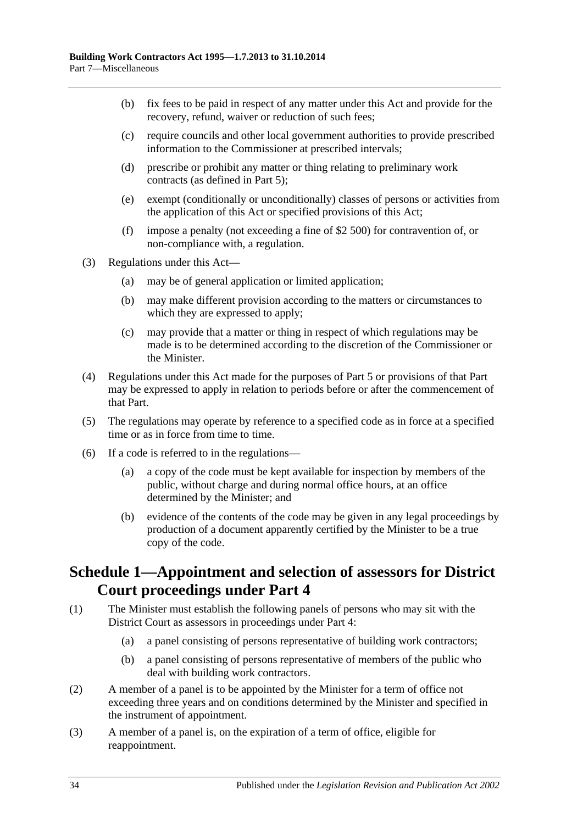- (b) fix fees to be paid in respect of any matter under this Act and provide for the recovery, refund, waiver or reduction of such fees;
- (c) require councils and other local government authorities to provide prescribed information to the Commissioner at prescribed intervals;
- (d) prescribe or prohibit any matter or thing relating to preliminary work contracts (as defined in [Part 5\)](#page-17-1);
- (e) exempt (conditionally or unconditionally) classes of persons or activities from the application of this Act or specified provisions of this Act;
- (f) impose a penalty (not exceeding a fine of \$2 500) for contravention of, or non-compliance with, a regulation.
- (3) Regulations under this Act—
	- (a) may be of general application or limited application;
	- (b) may make different provision according to the matters or circumstances to which they are expressed to apply;
	- (c) may provide that a matter or thing in respect of which regulations may be made is to be determined according to the discretion of the Commissioner or the Minister.
- (4) Regulations under this Act made for the purposes of [Part 5](#page-17-1) or provisions of that Part may be expressed to apply in relation to periods before or after the commencement of that Part.
- (5) The regulations may operate by reference to a specified code as in force at a specified time or as in force from time to time.
- (6) If a code is referred to in the regulations—
	- (a) a copy of the code must be kept available for inspection by members of the public, without charge and during normal office hours, at an office determined by the Minister; and
	- (b) evidence of the contents of the code may be given in any legal proceedings by production of a document apparently certified by the Minister to be a true copy of the code.

## <span id="page-33-0"></span>**Schedule 1—Appointment and selection of assessors for District Court proceedings under [Part](#page-14-0) 4**

- (1) The Minister must establish the following panels of persons who may sit with the District Court as assessors in proceedings under [Part 4:](#page-14-0)
	- (a) a panel consisting of persons representative of building work contractors;
	- (b) a panel consisting of persons representative of members of the public who deal with building work contractors.
- (2) A member of a panel is to be appointed by the Minister for a term of office not exceeding three years and on conditions determined by the Minister and specified in the instrument of appointment.
- (3) A member of a panel is, on the expiration of a term of office, eligible for reappointment.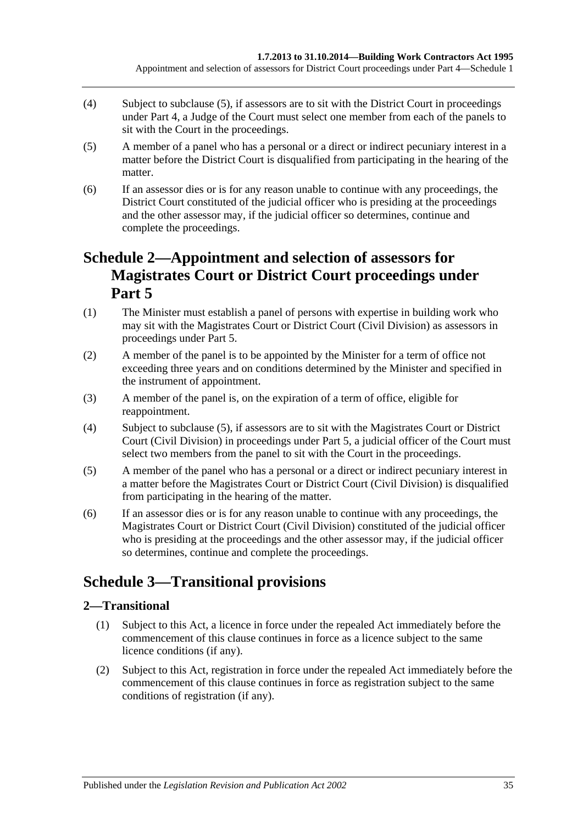- (4) Subject to [subclause](#page-34-3) (5), if assessors are to sit with the District Court in proceedings under [Part 4,](#page-14-0) a Judge of the Court must select one member from each of the panels to sit with the Court in the proceedings.
- <span id="page-34-3"></span>(5) A member of a panel who has a personal or a direct or indirect pecuniary interest in a matter before the District Court is disqualified from participating in the hearing of the matter.
- (6) If an assessor dies or is for any reason unable to continue with any proceedings, the District Court constituted of the judicial officer who is presiding at the proceedings and the other assessor may, if the judicial officer so determines, continue and complete the proceedings.

## <span id="page-34-0"></span>**Schedule 2—Appointment and selection of assessors for Magistrates Court or District Court proceedings under [Part](#page-17-1) 5**

- (1) The Minister must establish a panel of persons with expertise in building work who may sit with the Magistrates Court or District Court (Civil Division) as assessors in proceedings under [Part 5.](#page-17-1)
- (2) A member of the panel is to be appointed by the Minister for a term of office not exceeding three years and on conditions determined by the Minister and specified in the instrument of appointment.
- (3) A member of the panel is, on the expiration of a term of office, eligible for reappointment.
- (4) Subject to [subclause](#page-34-4) (5), if assessors are to sit with the Magistrates Court or District Court (Civil Division) in proceedings under [Part 5,](#page-17-1) a judicial officer of the Court must select two members from the panel to sit with the Court in the proceedings.
- <span id="page-34-4"></span>(5) A member of the panel who has a personal or a direct or indirect pecuniary interest in a matter before the Magistrates Court or District Court (Civil Division) is disqualified from participating in the hearing of the matter.
- (6) If an assessor dies or is for any reason unable to continue with any proceedings, the Magistrates Court or District Court (Civil Division) constituted of the judicial officer who is presiding at the proceedings and the other assessor may, if the judicial officer so determines, continue and complete the proceedings.

## <span id="page-34-1"></span>**Schedule 3—Transitional provisions**

## <span id="page-34-2"></span>**2—Transitional**

- (1) Subject to this Act, a licence in force under the repealed Act immediately before the commencement of this clause continues in force as a licence subject to the same licence conditions (if any).
- (2) Subject to this Act, registration in force under the repealed Act immediately before the commencement of this clause continues in force as registration subject to the same conditions of registration (if any).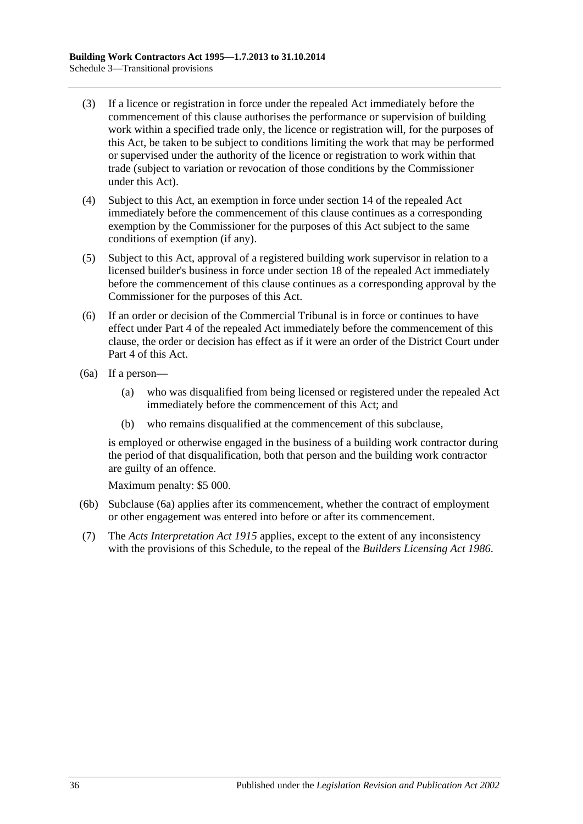- (3) If a licence or registration in force under the repealed Act immediately before the commencement of this clause authorises the performance or supervision of building work within a specified trade only, the licence or registration will, for the purposes of this Act, be taken to be subject to conditions limiting the work that may be performed or supervised under the authority of the licence or registration to work within that trade (subject to variation or revocation of those conditions by the Commissioner under this Act).
- (4) Subject to this Act, an exemption in force under section 14 of the repealed Act immediately before the commencement of this clause continues as a corresponding exemption by the Commissioner for the purposes of this Act subject to the same conditions of exemption (if any).
- (5) Subject to this Act, approval of a registered building work supervisor in relation to a licensed builder's business in force under section 18 of the repealed Act immediately before the commencement of this clause continues as a corresponding approval by the Commissioner for the purposes of this Act.
- (6) If an order or decision of the Commercial Tribunal is in force or continues to have effect under Part 4 of the repealed Act immediately before the commencement of this clause, the order or decision has effect as if it were an order of the District Court under [Part 4](#page-14-0) of this Act.
- <span id="page-35-0"></span>(6a) If a person—
	- (a) who was disqualified from being licensed or registered under the repealed Act immediately before the commencement of this Act; and
	- (b) who remains disqualified at the commencement of this subclause,

is employed or otherwise engaged in the business of a building work contractor during the period of that disqualification, both that person and the building work contractor are guilty of an offence.

Maximum penalty: \$5 000.

- (6b) [Subclause](#page-35-0) (6a) applies after its commencement, whether the contract of employment or other engagement was entered into before or after its commencement.
- (7) The *[Acts Interpretation Act](http://www.legislation.sa.gov.au/index.aspx?action=legref&type=act&legtitle=Acts%20Interpretation%20Act%201915) 1915* applies, except to the extent of any inconsistency with the provisions of this Schedule, to the repeal of the *[Builders Licensing Act](http://www.legislation.sa.gov.au/index.aspx?action=legref&type=act&legtitle=Builders%20Licensing%20Act%201986) 1986*.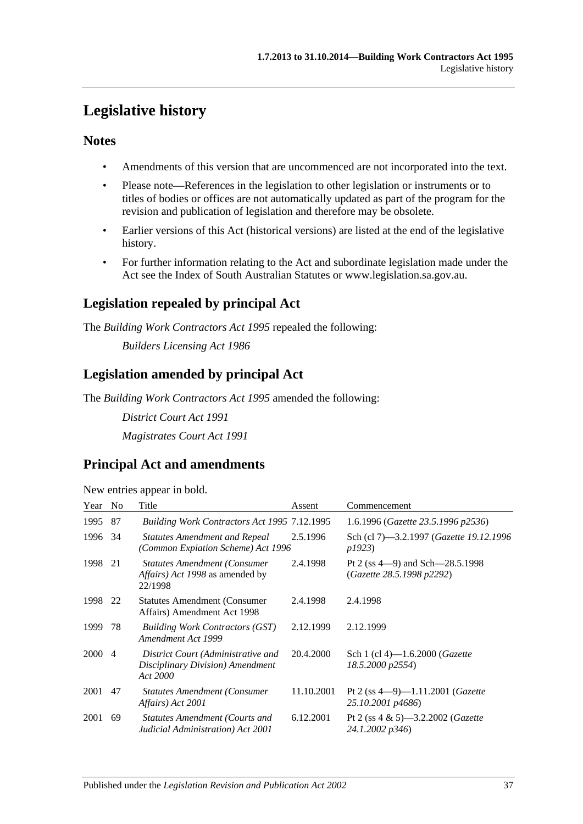## <span id="page-36-0"></span>**Legislative history**

### **Notes**

- Amendments of this version that are uncommenced are not incorporated into the text.
- Please note—References in the legislation to other legislation or instruments or to titles of bodies or offices are not automatically updated as part of the program for the revision and publication of legislation and therefore may be obsolete.
- Earlier versions of this Act (historical versions) are listed at the end of the legislative history.
- For further information relating to the Act and subordinate legislation made under the Act see the Index of South Australian Statutes or www.legislation.sa.gov.au.

## **Legislation repealed by principal Act**

The *Building Work Contractors Act 1995* repealed the following:

*Builders Licensing Act 1986*

## **Legislation amended by principal Act**

The *Building Work Contractors Act 1995* amended the following:

*District Court Act 1991 Magistrates Court Act 1991*

## **Principal Act and amendments**

| New entries appear in bold. |  |  |
|-----------------------------|--|--|

| Year   | N <sub>0</sub> | Title                                                                                            | Assent     | Commencement                                                       |
|--------|----------------|--------------------------------------------------------------------------------------------------|------------|--------------------------------------------------------------------|
| 1995   | 87             | Building Work Contractors Act 1995 7.12.1995                                                     |            | 1.6.1996 (Gazette 23.5.1996 p2536)                                 |
| 1996   | -34            | <b>Statutes Amendment and Repeal</b><br>(Common Expiation Scheme) Act 1996                       | 2.5.1996   | Sch (cl 7)—3.2.1997 ( <i>Gazette 19.12.1996</i><br>p1923)          |
| 1998   | 21             | <b>Statutes Amendment (Consumer</b><br><i>Affairs</i> ) <i>Act 1998</i> as amended by<br>22/1998 | 2.4.1998   | Pt 2 (ss $4-9$ ) and Sch $-28.5.1998$<br>(Gazette 28.5.1998 p2292) |
| 1998   | 22             | <b>Statutes Amendment (Consumer</b> )<br>Affairs) Amendment Act 1998                             | 2.4.1998   | 2.4.1998                                                           |
| 1999   | 78             | <b>Building Work Contractors (GST)</b><br>Amendment Act 1999                                     | 2.12.1999  | 2.12.1999                                                          |
| 2000 4 |                | District Court (Administrative and<br>Disciplinary Division) Amendment<br>Act 2000               | 20.4.2000  | Sch 1 (cl 4)—1.6.2000 ( <i>Gazette</i><br>18.5.2000 p2554)         |
| 2001   | 47             | <b>Statutes Amendment (Consumer)</b><br>Affairs) Act 2001                                        | 11.10.2001 | Pt 2 (ss $4-9$ )-1.11.2001 ( <i>Gazette</i><br>25.10.2001 p4686)   |
| 2001   | 69             | <b>Statutes Amendment (Courts and</b><br>Judicial Administration) Act 2001                       | 6.12.2001  | Pt 2 (ss $4 \& 5$ )—3.2.2002 ( <i>Gazette</i><br>24.1.2002 p346)   |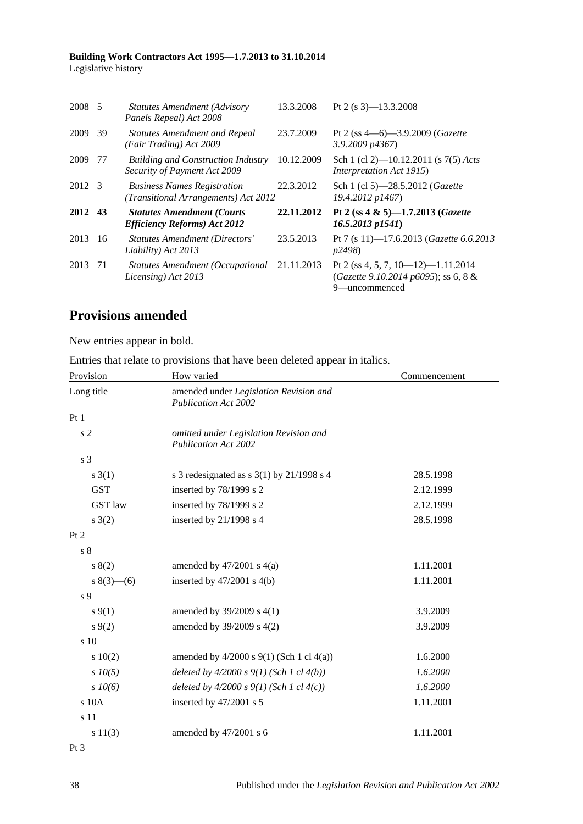#### **Building Work Contractors Act 1995—1.7.2013 to 31.10.2014** Legislative history

| 2008 5  |    | <b>Statutes Amendment (Advisory</b><br>Panels Repeal) Act 2008             | 13.3.2008  | Pt 2 (s $3$ )-13.3.2008                                                                     |
|---------|----|----------------------------------------------------------------------------|------------|---------------------------------------------------------------------------------------------|
| 2009    | 39 | <b>Statutes Amendment and Repeal</b><br>(Fair Trading) Act 2009            | 23.7.2009  | Pt 2 (ss $4-6$ )-3.9.2009 (Gazette<br>$3.9.2009$ $p4367$                                    |
| 2009    | 77 | <b>Building and Construction Industry</b><br>Security of Payment Act 2009  | 10.12.2009 | Sch 1 (cl 2)—10.12.2011 (s 7(5) Acts<br>Interpretation Act 1915)                            |
| 2012 3  |    | <b>Business Names Registration</b><br>(Transitional Arrangements) Act 2012 | 22.3.2012  | Sch 1 (cl 5)-28.5.2012 (Gazette<br>19.4.2012 p1467)                                         |
| 2012 43 |    | <b>Statutes Amendment (Courts)</b><br><b>Efficiency Reforms) Act 2012</b>  | 22.11.2012 | Pt 2 (ss 4 & 5)-1.7.2013 (Gazette<br>$16.5.2013$ p $1541$ )                                 |
| 2013    | 16 | <b>Statutes Amendment (Directors'</b><br>Liability) Act 2013               | 23.5.2013  | Pt 7 (s 11)-17.6.2013 ( <i>Gazette</i> 6.6.2013<br>p2498)                                   |
| 2013 71 |    | Statutes Amendment (Occupational<br>Licensing) Act 2013                    | 21.11.2013 | Pt 2 (ss 4, 5, 7, 10–12)–1.11.2014<br>(Gazette 9.10.2014 p6095); ss 6, 8 &<br>9—uncommenced |

## **Provisions amended**

New entries appear in bold.

Entries that relate to provisions that have been deleted appear in italics.

| Provision       | How varied                                                            | Commencement |
|-----------------|-----------------------------------------------------------------------|--------------|
| Long title      | amended under Legislation Revision and<br><b>Publication Act 2002</b> |              |
| Pt1             |                                                                       |              |
| s <sub>2</sub>  | omitted under Legislation Revision and<br><b>Publication Act 2002</b> |              |
| s 3             |                                                                       |              |
| $s \; 3(1)$     | s 3 redesignated as s $3(1)$ by $21/1998$ s 4                         | 28.5.1998    |
| <b>GST</b>      | inserted by 78/1999 s 2                                               | 2.12.1999    |
| GST law         | inserted by 78/1999 s 2                                               | 2.12.1999    |
| $s \; 3(2)$     | inserted by $21/1998$ s 4                                             | 28.5.1998    |
| Pt 2            |                                                                       |              |
| s <sub>8</sub>  |                                                                       |              |
| 8(2)            | amended by $47/2001$ s $4(a)$                                         | 1.11.2001    |
| $s(3)$ – (6)    | inserted by $47/2001$ s $4(b)$                                        | 1.11.2001    |
| s 9             |                                                                       |              |
| $s\,9(1)$       | amended by 39/2009 s 4(1)                                             | 3.9.2009     |
| $s \, 9(2)$     | amended by 39/2009 s 4(2)                                             | 3.9.2009     |
| $\sin 10$       |                                                                       |              |
| 10(2)           | amended by 4/2000 s 9(1) (Sch 1 cl 4(a))                              | 1.6.2000     |
| $s$ 10(5)       | deleted by $4/2000 s 9(1)$ (Sch 1 cl $4(b)$ )                         | 1.6.2000     |
| $s \, 10(6)$    | deleted by $4/2000 s 9(1)$ (Sch 1 cl $4(c)$ )                         | 1.6.2000     |
| s 10A           | inserted by 47/2001 s 5                                               | 1.11.2001    |
| s 11            |                                                                       |              |
| s 11(3)         | amended by 47/2001 s 6                                                | 1.11.2001    |
| Pt <sub>3</sub> |                                                                       |              |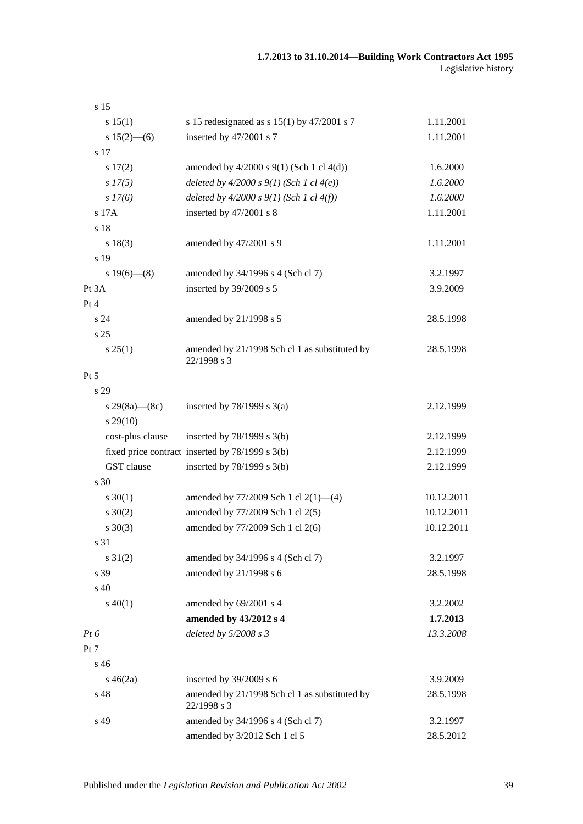| s 15              |                                                              |            |
|-------------------|--------------------------------------------------------------|------------|
| s 15(1)           | s 15 redesignated as s $15(1)$ by $47/2001$ s 7              | 1.11.2001  |
| $s 15(2)$ - (6)   | inserted by 47/2001 s 7                                      | 1.11.2001  |
| s 17              |                                                              |            |
| s 17(2)           | amended by $4/2000$ s $9(1)$ (Sch 1 cl $4(d)$ )              | 1.6.2000   |
| s 17(5)           | deleted by $4/2000 s 9(1)$ (Sch 1 cl $4(e)$ )                | 1.6.2000   |
| $s\,I7(6)$        | deleted by $4/2000 s 9(1)$ (Sch 1 cl $4(f)$ )                | 1.6.2000   |
| s 17A             | inserted by 47/2001 s 8                                      | 1.11.2001  |
| s 18              |                                                              |            |
| s 18(3)           | amended by 47/2001 s 9                                       | 1.11.2001  |
| s 19              |                                                              |            |
| s $19(6)$ — $(8)$ | amended by 34/1996 s 4 (Sch cl 7)                            | 3.2.1997   |
| Pt 3A             | inserted by 39/2009 s 5                                      | 3.9.2009   |
| Pt 4              |                                                              |            |
| s 24              | amended by 21/1998 s 5                                       | 28.5.1998  |
| s 25              |                                                              |            |
| s 25(1)           | amended by 21/1998 Sch cl 1 as substituted by<br>22/1998 s 3 | 28.5.1998  |
| Pt 5              |                                                              |            |
| s 29              |                                                              |            |
| s 29(8a)—(8c)     | inserted by $78/1999$ s $3(a)$                               | 2.12.1999  |
| $s\,29(10)$       |                                                              |            |
| cost-plus clause  | inserted by $78/1999$ s $3(b)$                               | 2.12.1999  |
|                   | fixed price contract inserted by 78/1999 s 3(b)              | 2.12.1999  |
| GST clause        | inserted by $78/1999$ s $3(b)$                               | 2.12.1999  |
| s 30              |                                                              |            |
| $s \ 30(1)$       | amended by 77/2009 Sch 1 cl 2(1)-(4)                         | 10.12.2011 |
| $s \ 30(2)$       | amended by 77/2009 Sch 1 cl 2(5)                             | 10.12.2011 |
| $s \ 30(3)$       | amended by 77/2009 Sch 1 cl 2(6)                             | 10.12.2011 |
| s 31              |                                                              |            |
| $s \, 31(2)$      | amended by 34/1996 s 4 (Sch cl 7)                            | 3.2.1997   |
| s 39              | amended by 21/1998 s 6                                       | 28.5.1998  |
| s 40              |                                                              |            |
| $s\ 40(1)$        | amended by 69/2001 s 4                                       | 3.2.2002   |
|                   | amended by 43/2012 s 4                                       | 1.7.2013   |
| $Pt\,6$           | deleted by 5/2008 s 3                                        | 13.3.2008  |
| Pt 7              |                                                              |            |
| s <sub>46</sub>   |                                                              |            |
| $s\,46(2a)$       | inserted by 39/2009 s 6                                      | 3.9.2009   |
| s 48              | amended by 21/1998 Sch cl 1 as substituted by<br>22/1998 s 3 | 28.5.1998  |
| s 49              | amended by 34/1996 s 4 (Sch cl 7)                            | 3.2.1997   |
|                   | amended by 3/2012 Sch 1 cl 5                                 | 28.5.2012  |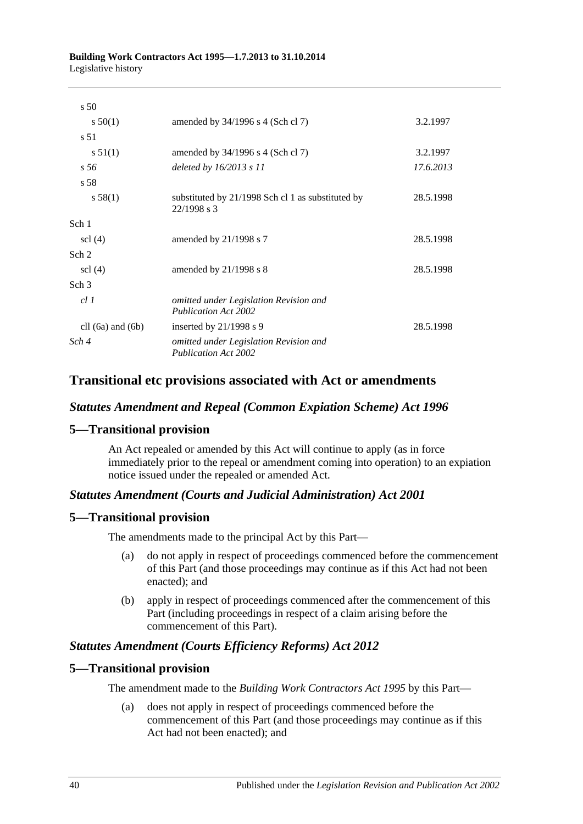| s <sub>50</sub>       |                                                                       |           |
|-----------------------|-----------------------------------------------------------------------|-----------|
| $s\,50(1)$            | amended by 34/1996 s 4 (Sch cl 7)                                     | 3.2.1997  |
| s 51                  |                                                                       |           |
| s 51(1)               | amended by $34/1996$ s 4 (Sch cl 7)                                   | 3.2.1997  |
| s 56                  | deleted by $16/2013 s 11$                                             | 17.6.2013 |
| s 58                  |                                                                       |           |
| s 58(1)               | substituted by 21/1998 Sch cl 1 as substituted by<br>22/1998 s 3      | 28.5.1998 |
| Sch 1                 |                                                                       |           |
| $\text{cl}(4)$        | amended by $21/1998$ s 7                                              | 28.5.1998 |
| Sch <sub>2</sub>      |                                                                       |           |
| $\text{cl}(4)$        | amended by $21/1998$ s 8                                              | 28.5.1998 |
| Sch <sub>3</sub>      |                                                                       |           |
| cl1                   | omitted under Legislation Revision and<br><b>Publication Act 2002</b> |           |
| cll $(6a)$ and $(6b)$ | inserted by $21/1998$ s 9                                             | 28.5.1998 |
| Sch 4                 | omitted under Legislation Revision and<br><b>Publication Act 2002</b> |           |

## **Transitional etc provisions associated with Act or amendments**

### *Statutes Amendment and Repeal (Common Expiation Scheme) Act 1996*

#### **5—Transitional provision**

An Act repealed or amended by this Act will continue to apply (as in force immediately prior to the repeal or amendment coming into operation) to an expiation notice issued under the repealed or amended Act.

#### *Statutes Amendment (Courts and Judicial Administration) Act 2001*

#### **5—Transitional provision**

The amendments made to the principal Act by this Part—

- (a) do not apply in respect of proceedings commenced before the commencement of this Part (and those proceedings may continue as if this Act had not been enacted); and
- (b) apply in respect of proceedings commenced after the commencement of this Part (including proceedings in respect of a claim arising before the commencement of this Part).

#### *Statutes Amendment (Courts Efficiency Reforms) Act 2012*

#### **5—Transitional provision**

The amendment made to the *[Building Work Contractors Act](http://www.legislation.sa.gov.au/index.aspx?action=legref&type=act&legtitle=Building%20Work%20Contractors%20Act%201995) 1995* by this Part—

(a) does not apply in respect of proceedings commenced before the commencement of this Part (and those proceedings may continue as if this Act had not been enacted); and